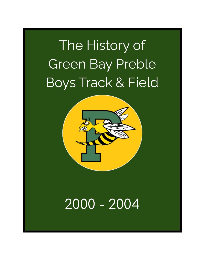# The History of Green Bay Preble Boys Track & Field



## 2000 - 2004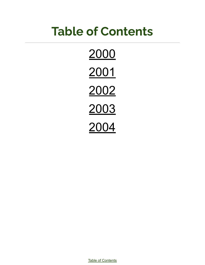## <span id="page-1-0"></span>**Table of Contents**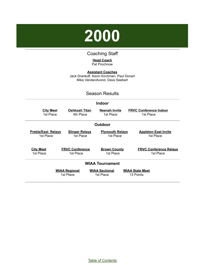<span id="page-2-0"></span>

#### Coaching Staff

#### **Head Coach** Pat Prochnow

**Assistant Coaches** Jack Drankoff, Kevin Kirchman, Paul Donart Mike VandenAvond, Dave Seebart

#### Season Results

#### **Indoor**

| <b>City Meet</b><br>1st Place                                                                                                                                   | Oshkosh Titan<br>4th Place          | <b>Neenah Invite</b><br>1st Place | <b>FRVC Conference Indoor</b><br>1st Place |
|-----------------------------------------------------------------------------------------------------------------------------------------------------------------|-------------------------------------|-----------------------------------|--------------------------------------------|
|                                                                                                                                                                 |                                     | <b>Outdoor</b>                    |                                            |
| <b>Preble/East Relays</b><br><b>Slinger Relays</b><br><b>Plymouth Relays</b><br><b>Appleton East Invite</b><br>1st Place<br>1st Place<br>1st Place<br>1st Place |                                     |                                   |                                            |
| <b>City Meet</b><br>1st Place                                                                                                                                   | <b>FRVC Conference</b><br>1st Place | <b>Brown County</b><br>1st Place  | <b>FRVC Conference Relays</b><br>1st Place |
| <b>WIAA Tournament</b>                                                                                                                                          |                                     |                                   |                                            |
| <b>WIAA Sectional</b><br><b>WIAA Regional</b><br><b>WIAA State Meet</b><br>1st Place<br>1st Place<br>13 Points                                                  |                                     |                                   |                                            |

Table of [Contents](#page-1-0)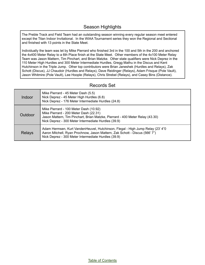#### Season Highlights

The Preble Track and Field Team had an outstanding season winning every regular season meet entered except the Titan Indoor Invitational. In the WIAA Tournament series they won the Regional and Sectional and finished with 13 points in the State Meet.

Individually the team was let by Mike Pierrard who finished 3rd in the 100 and 5th in the 200 and anchored the 4x400 Meter Relay to a 6th Place finish at the State Meet. Other members of the 4x100 Meter Relay Team was Jason Mattern, Tim Pinchart, and Brian Matzke. Other state qualifiers were Nick Deprez in the 110 Meter High Hurdles and 300 Meter Intermediate Hurdles, Gregg Mathu in the Discus and Kent Hutchinson in the Triple Jump. Other top contributors were Brian Janeshek (Hurdles and Relays), Zak Schott (Discus), JJ Chaudoir (Hurdles and Relays), Dave Reidinger (Relays), Adam Frisque (Pole Vault), Jason Whitmire (Pole Vault), Lee Hoople (Relays), Chris Strebel (Relays), and Casey Bins (Distance).

#### Records Set

| Indoor  | Mike Pierrard - 45 Meter Dash (5.5)<br>Nick Deprez - 45 Meter High Hurdles (6.8)<br>Nick Deprez - 176 Meter Intermediate Hurdles (24.8)                                                                                  |
|---------|--------------------------------------------------------------------------------------------------------------------------------------------------------------------------------------------------------------------------|
| Outdoor | Mike Pierrard - 100 Meter Dash (10.92)<br>Mike Pierrard - 200 Meter Dash (22.31)<br>Jason Mattern, Tim Pinchart, Brian Matzke, Pierrard - 400 Meter Relay (43.30)<br>Nick Deprez - 300 Meter Intermediate Hurdles (39.9) |
| Relays  | Adam Hermsen, Kurt VandenHeuvel, Hutchinson, Flegal - High Jump Relay (23'4"0)<br>Aaron Mitchell, Ryan Prochnow, Jason Mattern, Zak Schott - Discus (566' 7")<br>Nick Deprez - 300 Meter Intermediate Hurdles (39.9)     |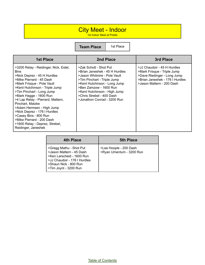#### City Meet - Indoor

1st Indoor Meet at Preble

| <b>1st Place</b>                                                                                                                                                                                                                                                                                                                                                                                                                                                            | 2nd Place                                                                                                                                                                                                                                                                     | 3rd Place                                                                                                                                                 |
|-----------------------------------------------------------------------------------------------------------------------------------------------------------------------------------------------------------------------------------------------------------------------------------------------------------------------------------------------------------------------------------------------------------------------------------------------------------------------------|-------------------------------------------------------------------------------------------------------------------------------------------------------------------------------------------------------------------------------------------------------------------------------|-----------------------------------------------------------------------------------------------------------------------------------------------------------|
| >3200 Relay - Reidinger, Nick, Estel,<br><b>Bins</b><br>>Nick Deprez - 45 H Hurdles<br>>Mike Pierrard - 45 Dash<br>>Mark Frisque - Pole Vault<br>>Kent Hutchinson - Triple Jump<br>>Tim Pinchart - Long Jump<br>>Mark Hagge - 1600 Run<br>>4 Lap Relay - Pierrard, Mattern,<br>Pinchart, Matzke<br>>Adam Hermsen - High Jump<br>>Nick Deprez - 176 I Hurdles<br>>Casey Bins - 800 Run<br>>Mike Pierrard - 200 Dash<br>>1600 Relay - Deprez, Strebel,<br>Reidinger, Janeshek | >Zak Schott - Shot Put<br>>Brian Janeshek - 45 H Hurdles<br>>Jason Whitmire - Pole Vault<br>>Tim Pinchart - Triple Jump<br>>Kent Hutchinson - Long Jump<br>>Ben Zamzow - 1600 Run<br>>Kent Hutchinson - High Jump<br>>Chris Strebel - 400 Dash<br>>Jonathon Conrad - 3200 Run | >JJ Chaudoir - 45 H Hurdles<br>>Mark Frisque - Triple Jump<br>>Dave Riedinger - Long Jump<br>>Brian Janeshek - 176   Hurdles<br>>Jason Mattern - 200 Dash |

| 4th Place                                                                                                                                                          | <b>5th Place</b>                                   |
|--------------------------------------------------------------------------------------------------------------------------------------------------------------------|----------------------------------------------------|
| >Gregg Mathu - Shot Put<br>>Jason Mattern - 45 Dash<br>>Ken Larscheid - 1600 Run<br>>JJ Chaudoir - 176 I Hurdles<br>>Shaun Nick - 800 Run<br>>Tim Joynt - 3200 Run | >Lee Hoople - 200 Dash<br>>Ryan Umentum - 3200 Run |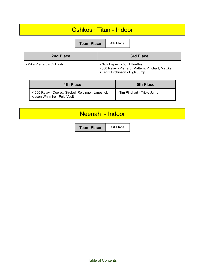#### Oshkosh Titan - Indoor

**Team Place** 4th Pla

| ۸ | w<br>I | ×<br>۰,<br>۰, |  |
|---|--------|---------------|--|
|   |        |               |  |

| 2nd Place                | 3rd Place                                                                                                       |
|--------------------------|-----------------------------------------------------------------------------------------------------------------|
| >Mike Pierrard - 55 Dash | >Nick Deprez - 55 H Hurdles<br>>800 Relay - Pierrard, Mattern, Pinchart, Matzke<br>>Kent Hutchinson - High Jump |

| 4th Place                                                                          | <b>5th Place</b>            |
|------------------------------------------------------------------------------------|-----------------------------|
| >1600 Relay - Deprey, Strebel, Reidinger, Janeshek<br>>Jason Whitmire - Pole Vault | STim Pinchart - Triple Jump |

#### Neenah - Indoor

**Team Place** | 1st Place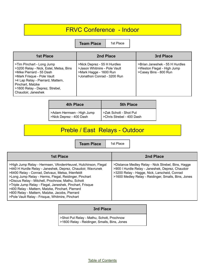## FRVC Conference - Indoor

**Team Place** | 1st Place

| 1st Place                                                                                                                                                                                                                                      | 2nd Place                                                                                                            | 3rd Place                                                                             |
|------------------------------------------------------------------------------------------------------------------------------------------------------------------------------------------------------------------------------------------------|----------------------------------------------------------------------------------------------------------------------|---------------------------------------------------------------------------------------|
| >Tim Pinchart - Long Jump<br>>3200 Relay - Nick, Estel, Metsa, Bins<br>>Mike Pierrard - 55 Dash<br>>Mark Frisque - Pole Vault<br>>4 Lap Relay - Pierrard, Mattern,<br>Pinchart, Matzke<br>>1600 Relay - Deprez, Strebel,<br>Chaudoir, Janeshek | >Nick Deprez - 55 H Hurdles<br>>Jason Whitmire - Pole Vault<br>>Mark Hagge - 1600 Run<br>>Jonathon Conrad - 3200 Run | >Brian Janeshek - 55 H Hurdles<br>>Weston Flegal - High Jump<br>>Casey Bins - 800 Run |

| <b>4th Place</b>                                     | <b>5th Place</b>                                    |
|------------------------------------------------------|-----------------------------------------------------|
| >Adam Hermsen - High Jump<br>>Nick Deprez - 400 Dash | >Zak Schott - Shot Put<br>>Chris Strebel - 400 Dash |

## Preble / East Relays - Outdoor

**Team Place** 1st

| 1st Place                                                                                                                                                                                                                                                                                                                                                                                                                                                                                                         | 2nd Place                                                                                                                                                                                                     |
|-------------------------------------------------------------------------------------------------------------------------------------------------------------------------------------------------------------------------------------------------------------------------------------------------------------------------------------------------------------------------------------------------------------------------------------------------------------------------------------------------------------------|---------------------------------------------------------------------------------------------------------------------------------------------------------------------------------------------------------------|
| >High Jump Relay - Hermsen, VAndenHeuvel, Hutchinson, Flegal<br>>440 H Hurdle Relay - Janeshek, Deprez, Chaudoir, Wavrunek<br>>6400 Relay - Conrad, Delvaux, Metsa, Ihlenfeldt<br>>Long Jump Relay - Herms, Flegal, Reidinger, Pinchart<br>>Discus Relay - Mitchell, Prochnow, Mathu, Schott<br>>Triple Jump Relay - Flegal, Janeshek, Pinchart, Frisque<br>>400 Relay - Mattern, Matzke, Pinchart, Pierrard<br>>800 Relay - Mattern, Matzke, Jacobs, Pierrard<br>>Pole Vault Relay - Frisque, Whitmire, Pinchart | >Distance Medley Relay - Nick Strebel, Bins, Hagge<br>>900 I Hurdle Relay - Janeshek, Deprez, Chaudoir<br>>3200 Relay - Hagge, Nick, Larscheid, Conrad<br>>1600 Medley Relay - Reidinger, Smalls, Bins, Jones |

#### **3rd Place**

>Shot Put Relay - Mathu, Schott, Prochnow >1600 Relay - Reidinger, Smalls, Bins, Jones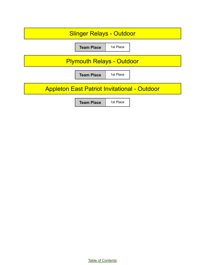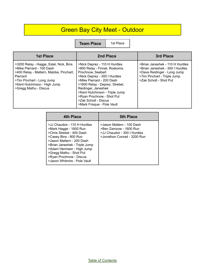## Green Bay City Meet - Outdoor

**Team Place** | 1st Place

| <b>1st Place</b>                                                                                                                                                                                                 | 2nd Place                                                                                                                                                                                                                                                                                                                     | 3rd Place                                                                                                                                                  |
|------------------------------------------------------------------------------------------------------------------------------------------------------------------------------------------------------------------|-------------------------------------------------------------------------------------------------------------------------------------------------------------------------------------------------------------------------------------------------------------------------------------------------------------------------------|------------------------------------------------------------------------------------------------------------------------------------------------------------|
| >3200 Relay - Hagge, Estel, Nick, Bins<br>>Mike Pierrard - 100 Dash<br>>400 Relay - Mattern, Matzke, Pinchart,<br>Pierrard<br>>Tim Pinchart - Long Jump<br>>Kent Hutchinson - High Jump<br>>Gregg Mathu - Discus | >Nick Deprez - 110 H Hurdles<br>>800 Relay - Finnel, Roskoms,<br>Prochnow, Seebart<br>>Nick Deprez - 300 I Hurdles<br>>Mike Pierrard - 200 Dash<br>>1600 Relay - Deprez, Strebel,<br>Reidinger, Janeshek<br>>Kent Hutchinson - Triple Jump<br>>Ryan Prochnow - Shot Put<br>>Zak Schott - Discus<br>>Mark Frisque - Pole Vault | >Brian Janeshek - 110 H Hurdles<br>>Brian Janeshek - 300 I Hurdles<br>>Dave Reidinger - Long Jump<br>>Tim Pinchart - Triple Jump<br>>Zak Schott - Shot Put |

| 4th Place                                                                                                                                                                                                                                                                                     | <b>5th Place</b>                                                                                                   |
|-----------------------------------------------------------------------------------------------------------------------------------------------------------------------------------------------------------------------------------------------------------------------------------------------|--------------------------------------------------------------------------------------------------------------------|
| >JJ Chaudoir - 110 H Hurdles<br>>Mark Hagge - 1600 Run<br>>Chris Strebel - 400 Dash<br>>Casey Bins - 800 Run<br>>Jason Mattern - 200 Dash<br>>Brian Janeshek - Triple Jump<br>>Adam Hermsen - High Jump<br>>Gregg Mathu - Shot Put<br>>Ryan Prochnow - Discus<br>>Jason Whitmire - Pole Vault | >Jason Mattern - 100 Dash<br>>Ben Zamzow - 1600 Run<br>>JJ Chaudoir - 300 I Hurdles<br>>Jonathon Conrad - 3200 Run |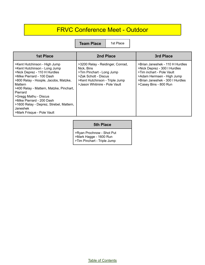#### FRVC Conference Meet - Outdoor

**Team Place** | 1st Place

| 1st Place                                                                                                                                                                                                                                                                                                                                                                      | 2nd Place                                                                                                                                                             | 3rd Place                                                                                                                                                                             |
|--------------------------------------------------------------------------------------------------------------------------------------------------------------------------------------------------------------------------------------------------------------------------------------------------------------------------------------------------------------------------------|-----------------------------------------------------------------------------------------------------------------------------------------------------------------------|---------------------------------------------------------------------------------------------------------------------------------------------------------------------------------------|
| >Kent Hutchinson - High Jump<br>>Kent Hutchinson - Long Jump<br>>Nick Deprez - 110 H Hurdles<br>>Mike Pierrard - 100 Dash<br>>800 Relay - Hoople, Jacobs, Matzke,<br>Mattern<br>>400 Relay - Mattern, Matzke, Pinchart,<br>Pierrard<br>>Gregg Mathu - Discus<br>>Mike Pierrard - 200 Dash<br>>1600 Relay - Deprez, Strebel, Mattern,<br>Janeshek<br>>Mark Frisque - Pole Vault | >3200 Relay - Reidinger, Conrad,<br>Nick, Bins<br>>Tim Pinchart - Long Jump<br>>Zak Schott - Discus<br>>Kent Hutchinson - Triple Jump<br>>Jason Whitmire - Pole Vault | >Brian Janeshek - 110 H Hurdles<br>>Nick Deprez - 300 I Hurdles<br>>Tim inchart - Pole Vault<br>>Adam Hermsen - High Jump<br>>Brian Janeshek - 300 I Hurdles<br>>Casey Bins - 800 Run |

#### **5th Place**

>Ryan Prochnow - Shot Put >Mark Hagge - 1600 Run >Tim Pinchart - Triple Jump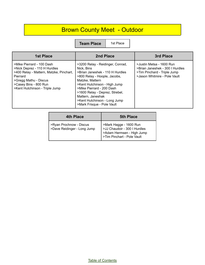## Brown County Meet - Outdoor

**Team Place** | 1st Place

| <b>1st Place</b>                                                                                                                                                                                     | 2nd Place                                                                                                                                                                                                                                                                                                              | 3rd Place                                                                                                                  |
|------------------------------------------------------------------------------------------------------------------------------------------------------------------------------------------------------|------------------------------------------------------------------------------------------------------------------------------------------------------------------------------------------------------------------------------------------------------------------------------------------------------------------------|----------------------------------------------------------------------------------------------------------------------------|
| >Mike Pierrard - 100 Dash<br>>Nick Deprez - 110 H Hurdles<br>>400 Relay - Mattern, Matzke, Pinchart,<br>Pierrard<br>>Gregg Mathu - Discus<br>>Casey Bins - 800 Run<br>>Kent Hutchinson - Triple Jump | >3200 Relay - Reidinger, Conrad,<br>Nick. Bins<br>>Brian Janeshek - 110 H Hurdles<br>>800 Relay - Hoople, Jacobs,<br>Matzke, Mattern<br>>Kent Hutchinson - High Jump<br>>Mike Pierrard - 200 Dash<br>>1600 Relay - Deprez, Strebel,<br>Mattern, Janeshak<br>>Kent Hutchinson - Long Jump<br>>Mark Frisque - Pole Vault | >Justin Metsa - 1600 Run<br>>Brian Janeshek - 300 I Hurdles<br>>Tim Pinchard - Triple Jump<br>>Jason Whitmire - Pole Vault |

| 4th Place                   | <b>5th Place</b>                                                                        |
|-----------------------------|-----------------------------------------------------------------------------------------|
| >Ryan Prochnow - Discus     | >Mark Hagge - 1600 Run                                                                  |
| >Dave Reidinger - Long Jump | >JJ Chaudoir - 300 I Hurdles<br>>Adam Hermsen - High Jump<br>>Tim Pinchart - Pole Vault |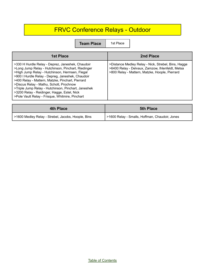## FRVC Conference Relays - Outdoor

| <b>1st Place</b>                                                                                                                                                                                                                                                                                                                                                                                                                                                     | 2nd Place                                                                                                                                                 |
|----------------------------------------------------------------------------------------------------------------------------------------------------------------------------------------------------------------------------------------------------------------------------------------------------------------------------------------------------------------------------------------------------------------------------------------------------------------------|-----------------------------------------------------------------------------------------------------------------------------------------------------------|
| >330 H Hurdle Relay - Deprez, Janeshek, Chaudoir<br>>Long Jump Relay - Hutchinson, Pinchart, Riedinger<br>>High Jump Relay - Hutchinson, Hermsen, Flegal<br>>900 I Hurdle Relay - Depreg, Janeshek, Chaudoir<br>>400 Relay - Mattern, Matzke, Pinchart, Pierrard<br>>Discus Relay - Mathu, Schott, Prochnow<br>>Triple Jump Relay - Hutchinson, Pinchart, Janeshek<br>>3200 Relay - Reidinger, Hagge, Estel, Nick<br>>Pole Vault Relay - Frisque, Whitmire, Pinchart | >Distance Medley Relay - Nick, Strebel, Bins, Hagge<br>>6400 Relay - Delvaux, Zamzow, Ihlenfeldt, Metsa<br>>800 Relay - Mattern, Matzke, Hoople, Pierrard |

| 4th Place                                          | <b>5th Place</b>                               |
|----------------------------------------------------|------------------------------------------------|
| >1600 Medley Relay - Strebel, Jacobs, Hoople, Bins | >1600 Relay - Smalls, Hoffman, Chaudoir, Jones |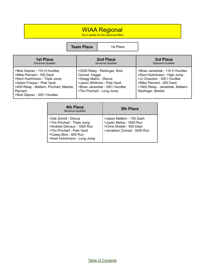#### WIAA Regional

Top 4 qualify for the Sectional Meet

| <b>1st Place</b>                                                                                                                                                                                                 | 2nd Place                                                                                                                                                                | 3rd Place                                                                                                                                                                              |
|------------------------------------------------------------------------------------------------------------------------------------------------------------------------------------------------------------------|--------------------------------------------------------------------------------------------------------------------------------------------------------------------------|----------------------------------------------------------------------------------------------------------------------------------------------------------------------------------------|
| <b>Sectional Qualifier</b>                                                                                                                                                                                       | <b>Sectional Qualifier</b>                                                                                                                                               | <b>Sectional Qualifier</b>                                                                                                                                                             |
| >Nick Deprez - 110 H Hurdles<br>>Mike Pierrard - 100 Dash<br>>Kent Hutchinson - Triple Jump<br>>Adam Frisque - Pole Vault<br>>400 Relay - Mattern, Pinchart, Matzke,<br>Pierrard<br>>Nick Deprez - 300   Hurdles | >3200 Relay - Reidinger, Nick,<br>Conrad, Hagge<br>>Gregg Mathu - Discus<br>>Jason Whitmire - Pole Vault<br>>Brian Janeshek - 300 I Hurdles<br>>Tim Pinchart - Long Jump | >Brian Janeshek - 110 H Hurdles<br>>Kent Hutchinson - High Jump<br>>JJ Chaudoir - 300   Hurdles<br>>Mike Pierrard - 200 Dash<br>>1600 Relay - Janeshek, Mattern,<br>Reidinger, Strebel |

| <b>4th Place</b><br><b>Sectional Qualifier</b>                                                                                                                           | <b>5th Place</b>                                                                                                  |
|--------------------------------------------------------------------------------------------------------------------------------------------------------------------------|-------------------------------------------------------------------------------------------------------------------|
| >Zak Schott - Discus<br>>Tim Pinchart - Triple Jump<br>>Andrew Delvaux - 1600 Run<br>>Tim Pinchart - Pole Vault<br>>Casey Bins - 800 Run<br>>Kent Hutchinson - Long Jump | >Jason Mattern - 100 Dash<br>>Justin Metsa - 1600 Run<br>>Chris Strebel - 400 Dash<br>>Jonathon Conrad - 3200 Run |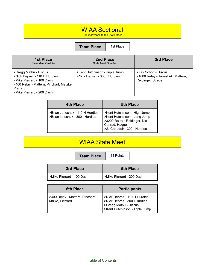#### WIAA Sectional

Top 2 advance to the State Meet

**Team Place** 1st Place

| <b>1st Place</b><br><b>State Meet Qualifier</b>                                                                                                                        | 2nd Place<br><b>State Meet Qualifier</b>                       | 3rd Place                                                                      |
|------------------------------------------------------------------------------------------------------------------------------------------------------------------------|----------------------------------------------------------------|--------------------------------------------------------------------------------|
| >Gregg Mathu - Discus<br>>Nick Deprez - 110 H Hurdles<br>>Mike Pierrard - 100 Dash<br>>400 Relay - Mattern, Pinchart, Matzke,<br>Pierrard<br>>Mike Pierrard - 200 Dash | >Kent Hutchinson - Triple Jump<br>>Nick Deprez - 300   Hurdles | >Zak Schott - Discus<br>>1600 Relay - Janeshek, Mattern,<br>Reidinger, Strebel |

| 4th Place                                                          | <b>5th Place</b>                                                                                                                                |
|--------------------------------------------------------------------|-------------------------------------------------------------------------------------------------------------------------------------------------|
| >Brian Janeshek - 110 H Hurdles<br>>Brian janeshek - 300 I Hurdles | >Kent Hutchinson - High Jump<br>>Kent Hutchinson - Long Jump<br>>3200 Relay - Reidinger, Nick,<br>Conrad, Hagge<br>>JJ Chaudoir - 300 I Hurdles |

#### WIAA State Meet

**Team Place** 13 Points

| 3rd Place                 | <b>5th Place</b>          |
|---------------------------|---------------------------|
| >Mike Pierrard - 100 Dash | >Mike Pierrard - 200 Dash |

| <b>6th Place</b>                                   | <b>Participants</b>                                                                                                     |
|----------------------------------------------------|-------------------------------------------------------------------------------------------------------------------------|
| >400 Relay - Mattern, Pinchart,<br>Mtzke, Pierrard | >Nick Deprez - 110 H Hurdles<br>>Nick Deprez - 300 I Hurdles<br>>Gregg Mathu - Discus<br>>Kent Hutchinson - Triple Jump |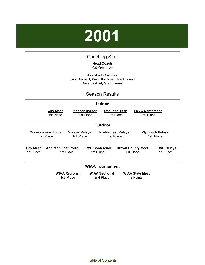# <span id="page-14-0"></span>**2001**

#### Coaching Staff

**Head Coach** Pat Prochnow

**Assistant Coaches** Jack Drankoff, Kevin Kirchman, Paul Donart Dave Seebart, Grant Turner

#### Season Results

#### **Indoor**

|                               | <b>City Meet</b><br>1st Place  | Neenah Indoor<br>1st Place         |                                     | <b>Oshkosh Titan</b><br>1st Place      | <b>FRVC Conference</b><br>1st Place   |                                     |
|-------------------------------|--------------------------------|------------------------------------|-------------------------------------|----------------------------------------|---------------------------------------|-------------------------------------|
|                               |                                |                                    | Outdoor                             |                                        |                                       |                                     |
|                               | Oconomowoc Invite<br>1st Place | <b>Slinger Relays</b><br>1st Place |                                     | <b>Preble/East Relays</b><br>1st Place |                                       | <b>Plymouth Relays</b><br>1st Place |
| <b>City Meet</b><br>1st Place | <b>Appleton East Invite</b>    | 1st Place                          | <b>FRVC Conference</b><br>1st Place |                                        | <b>Brown County Meet</b><br>1st Place | <b>FRVC Relays</b><br>1st Place     |
|                               |                                |                                    | <b>WIAA Tournament</b>              |                                        |                                       |                                     |
|                               |                                | <b>WIAA Regional</b><br>1st Place  | <b>WIAA Sectional</b><br>2nd Place  |                                        | <b>WIAA State Meet</b><br>2 Points    |                                     |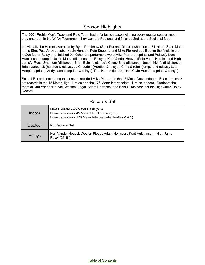#### Season Highlights

The 2001 Preble Men's Track and Field Team had a fantastic season winning every regular season meet they entered. In the WIAA Tournament they won the Regional and finished 2nd at the Sectional Meet.

Individually the Hornets were led by Ryan Prochnow (Shot Put and Discus) who placed 7th at the State Meet in the Shot Put. Andy Jacobs, Kevin Hansen, Pete Seebart, and Mike Pierrard qualified for the finals in the 4x200 Meter Relay and finished 9th.Other top performers were Mike Pierrard (sprints and Relays), Kent Hutchinson (Jumps), Justin Metsa (distance and Relays), Kurt VandenHeuvel (Pole Vault, Hurdles and High Jump), Ross Umentum (distance), Brian Estel (distance), Casey Bins (distance), Jason Ihlenfeldt (distance), Brian Janeshek (hurdles & relays), JJ Chaudoir (Hurdles & relays), Chris Strebel (jumps and relays), Lee Hoople (sprints), Andy Jacobs (sprints & relays), Dan Herms (jumps), and Kevin Hansen (sprints & relays).

School Records set during the season included Mike Pierrard in the 45 Meter Dash indoors. Brian Janeshek set records in the 45 Meter High Hurdles and the 176 Meter Intermediate Hurdles indoors. Outdoors the team of Kurt VandenHeuvel, Weston Flegal, Adam Hermsen, and Kent Hutchinson set the High Jump Relay Record.

| Indoor        | Mike Pierrard - 45 Meter Dash (5.3)<br>Brian Janeshek - 45 Meter High Hurdles (6.8)<br>Brian Janeshek - 176 Meter Intermediate Hurdles (24.1) |
|---------------|-----------------------------------------------------------------------------------------------------------------------------------------------|
| Outdoor       | No Records Set                                                                                                                                |
| <b>Relays</b> | Kurt VandenHeuvel, Weston Flegal, Adam Hermsen, Kent Hutchinson - High Jump<br>Relay (23' 8")                                                 |

#### Records Set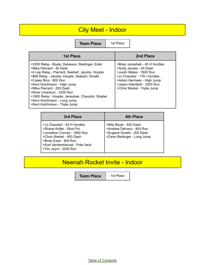## City Meet - Indoor

**Team Place** | 1st Place

| 1st Place                                                                                                                                                                                                                                                                                                                                                                                                                | 2nd Place                                                                                                                                                                                                         |
|--------------------------------------------------------------------------------------------------------------------------------------------------------------------------------------------------------------------------------------------------------------------------------------------------------------------------------------------------------------------------------------------------------------------------|-------------------------------------------------------------------------------------------------------------------------------------------------------------------------------------------------------------------|
| >3200 Relay - Boyle, Delveaux, Reidinger, Estel<br>>Mike Pierrard - 45 Dash<br>>4 Lap Relay - Pierrard, Seebart, Jacobs, Hoople<br>>800 Relay - Jacobs, Hoople, Seebart, Smalls<br>>Casey Bins - 800 Run<br>>Kent Hutchinson - High Jump<br>>Mike Pierrard - 200 Dash<br>>Ross Umentum - 3200 Run<br>>1600 Relay - Hoople, Janeshek, Chaudoir, Strebel<br>>Kent Hutchinson - Long Jump<br>>Kent Hutchinson - Triple Jump | >Brian Janeshek - 45 H Hurdles<br>>Andy Jacobs - 45 Dash<br>>Justin Metsa - 1600 Run<br>>JJ Chaudoir - 176 I Hurdles<br>>Adam Hermsen - High Jump<br>>Jason Ihlenfeldt - 3200 Run<br>>Chris Strebel - Triple Jump |

| 3rd Place                                                                                                                                                                                                 | 4th Place                                                                                                        |
|-----------------------------------------------------------------------------------------------------------------------------------------------------------------------------------------------------------|------------------------------------------------------------------------------------------------------------------|
| >JJ Chaudoir - 45 H Hurdles<br>>Shane Kofler - Shot Put<br>>Jonathon Conrad - 1600 Run<br>>Chris Strebel - 400 Dash<br>>Brian Estel - 800 Run<br>>Kurt VandenHeuvel - Pole Vault<br>>Tim Joynt - 3200 Run | >Billy Boyle - 400 Dash<br>>Andrew Delvaux - 800 Run<br>>Eugene Smalls - 200 Dash<br>>Dave Reidinger - Long Jump |

## Neenah Rocket Invite - Indoor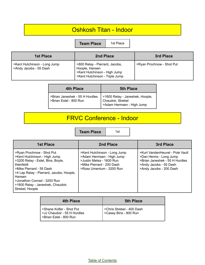#### Oshkosh Titan - Indoor

**Team Place** | 1st Place

| <b>1st Place</b>                                       | 2nd Place                                                                                                          | 3rd Place                 |
|--------------------------------------------------------|--------------------------------------------------------------------------------------------------------------------|---------------------------|
| >Kent Hutchinson - Long Jump<br>>Andy Jacobs - 55 Dash | >800 Relay - Pierrard, Jacobs,<br>Hoople, Hansen<br>>Kent Hutchinson - High Jump<br>>Kent Hutchinson - Triple Jump | >Ryan Prochnow - Shot Put |

| <b>4th Place</b>                                         | <b>5th Place</b>                                                                  |
|----------------------------------------------------------|-----------------------------------------------------------------------------------|
| >Brian Janeshek - 55 H Hurdles<br>>Brian Estel - 800 Run | >1600 Relay - Janeshek, Hoople,<br>Chaudoir, Strebel<br>>Adam Hermsen - High Jump |

## FRVC Conference - Indoor

**Team Place** 1st

| <b>1st Place</b>                                                                                                                                                                                                                                                                             | 2nd Place                                                                                                                                      | 3rd Place                                                                                                                                        |
|----------------------------------------------------------------------------------------------------------------------------------------------------------------------------------------------------------------------------------------------------------------------------------------------|------------------------------------------------------------------------------------------------------------------------------------------------|--------------------------------------------------------------------------------------------------------------------------------------------------|
| >Ryan Prochnow - Shot Put<br>>Kent Hutchinson - High Jump<br>>3200 Relay - Estel, Bins, Boyle,<br><b>Ihlenfeldt</b><br>>Mike Pierrard - 55 Dash<br>>4 Lap Relay - Pierrard, Jacobs, Hoople,<br>Hansen<br>>Jonathon Conrad - 3200 Run<br>>1600 Relay - Janeshek, Chaudoir,<br>Strebel, Hoople | >Kent Hutchinson - Long Jump<br>>Adam Hermsen - High Jump<br>>Justin Metsa - 1600 Run<br>>Mike Pierrard - 200 Dash<br>>Ross Umentum - 3200 Run | >Kurt VandenHeuvel - Pole Vault<br>>Dan Herms - Long Jump<br>>Brian Janeshek - 55 H Hurdles<br>>Andy Jacobs - 55 Dash<br>>Andy Jacobs - 200 Dash |

| 4th Place                                                                             | <b>5th Place</b>                                      |
|---------------------------------------------------------------------------------------|-------------------------------------------------------|
| Shane Kofler - Shot Put<br>  > JJ Chaudoir - 55 H Hurdles<br>l >Brian Estel - 800 Run | Schris Strebel - 400 Dash<br>I > Casey Bins - 800 Run |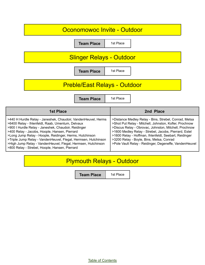| Oconomowoc Invite - Outdoor         |           |
|-------------------------------------|-----------|
| <b>Team Place</b>                   | 1st Place |
| <b>Slinger Relays - Outdoor</b>     |           |
| <b>Team Place</b>                   | 1st Place |
| <b>Preble/East Relays - Outdoor</b> |           |
|                                     | 1st Place |
| <b>Team Place</b>                   |           |
| <b>1st Place</b>                    | 2nd Place |

## Plymouth Relays - Outdoor

**Team Place** 1st Place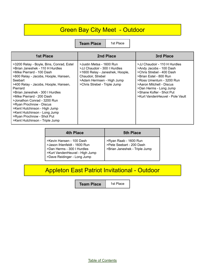## **Green Bay City Meet - Outdoor**

**Team Place** | 1st Place

| <b>1st Place</b>                                                                                                                                                                                                                                                                                                                                                                                                                                                         | 2nd Place                                                                                                                                                                     | 3rd Place                                                                                                                                                                                                                                                       |
|--------------------------------------------------------------------------------------------------------------------------------------------------------------------------------------------------------------------------------------------------------------------------------------------------------------------------------------------------------------------------------------------------------------------------------------------------------------------------|-------------------------------------------------------------------------------------------------------------------------------------------------------------------------------|-----------------------------------------------------------------------------------------------------------------------------------------------------------------------------------------------------------------------------------------------------------------|
| >3200 Relay - Boyle, Bins, Conrad, Estel<br>>Brian Janeshek - 110 H Hurdles<br>>Mike Pierrard - 100 Dash<br>>800 Relay - Jacobs, Hoople, Hansen,<br>Seebart<br>>400 Relay - Jacobs, Hoople, Hansen,<br>Pierrard<br>>Brian Janeshek - 300 I Hurdles<br>>Mike Pierrard - 200 Dash<br>>Jonathon Conrad - 3200 Run<br>>Ryan Prochnow - Discus<br>>Kent Hutchinson - High Jump<br>>Kent Hutchinson - Long Jump<br>>Ryan Prochnow - Shot Put<br>>Kent Hutchinson - Triple Jump | >Justin Metsa - 1600 Run<br>>JJ Chaudoir - 300 I Hurdles<br>>1600 Relay - Janeshek, Hoople,<br>Chaudoir, Strebel<br>>Adam Hermsen - High Jump<br>>Chris Strebel - Triple Jump | >JJ Chaudoir - 110 H Hurdles<br>>Andy Jacobs - 100 Dash<br>>Chris Strebel - 400 Dash<br>>Brian Estel - 800 Run<br>>Ross Umentum - 3200 Run<br>>Aaron Mitchell - Discus<br>>Dan Herms - Long Jump<br>>Shane Kofler - Shot Put<br>>Kurt VandenHeuvel - Pole Vault |

| <b>4th Place</b>                                                                                                                                        | <b>5th Place</b>                                                                   |
|---------------------------------------------------------------------------------------------------------------------------------------------------------|------------------------------------------------------------------------------------|
| >Kevin Hansen - 100 Dash<br>>Jason Ihlenfeldt - 1600 Run<br>>Dan Herms - 300 I Hurdles<br>>Kurt VandenHeuvel - High Jump<br>>Dave Reidinger - Long Jump | >Ryan Raab - 1600 Run<br>>Pete Seebart - 200 Dash<br>>Brian Janeshek - Triple Jump |

## Appleton East Patriot Invitational - Outdoor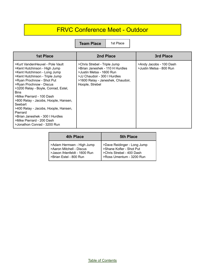## FRVC Conference Meet - Outdoor

| <b>1st Place</b>                                                                                                                                                                                                                                                                                                                                                                                                                                                                   | 2nd Place                                                                                                                                                                           | 3rd Place                                          |
|------------------------------------------------------------------------------------------------------------------------------------------------------------------------------------------------------------------------------------------------------------------------------------------------------------------------------------------------------------------------------------------------------------------------------------------------------------------------------------|-------------------------------------------------------------------------------------------------------------------------------------------------------------------------------------|----------------------------------------------------|
| >Kurt VandenHeuvel - Pole Vault<br>>Kent Hutchinson - High Jump<br>>Kent Hutchinson - Long Jump<br>>Kent Hutchinson - Triple Jump<br>>Ryan Prochnow - Shot Put<br>>Ryan Prochnow - Discus<br>>3200 Relay - Boyle, Conrad, Estel,<br><b>Bins</b><br>>Mike Pierrard - 100 Dash<br>>800 Relay - Jacobs, Hoople, Hansen,<br>Seebart<br>>400 Relay - Jacobs, Hoople, Hansen,<br>Pierrard<br>>Brian Janeshek - 300   Hurdles<br>>Mike Pierrard - 200 Dash<br>>Jonathon Conrad - 3200 Run | >Chris Strebel - Triple Jump<br>>Brian Janeshek - 110 H Hurdles<br>>Justin Metsa - 1600 Run<br>>JJ Chaudoir - 300 I Hurdles<br>>1600 Relay - Janeshek, Chaudoir,<br>Hoople, Strebel | >Andy Jacobs - 100 Dash<br>>Justin Metsa - 800 Run |

| <b>4th Place</b>                                                                                                | <b>5th Place</b>                                                                                                 |
|-----------------------------------------------------------------------------------------------------------------|------------------------------------------------------------------------------------------------------------------|
| >Adam Hermsen - High Jump<br>>Aaron Mitchell - Discus<br>>Jason Ihlenfeldt - 1600 Run<br>>Brian Estel - 800 Run | >Dave Reidinger - Long Jump<br>>Shane Kofler - Shot Put<br>>Chris Strebel - 400 Dash<br>>Ross Umentum - 3200 Run |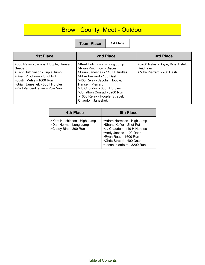## Brown County Meet - Outdoor

| <b>1st Place</b>                                                                                                                                                                                                 | 2nd Place                                                                                                                                                                                                                                                                                          | 3rd Place                                                                   |
|------------------------------------------------------------------------------------------------------------------------------------------------------------------------------------------------------------------|----------------------------------------------------------------------------------------------------------------------------------------------------------------------------------------------------------------------------------------------------------------------------------------------------|-----------------------------------------------------------------------------|
| >800 Relay - Jacobs, Hoople, Hansen,<br>Seebart<br>>Kent Hutchinson - Triple Jump<br>>Ryan Prochnow - Shot Put<br>>Justin Metsa - 1600 Run<br>>Brian Janeshek - 300 I Hurdles<br>>Kurt VandenHeuvel - Pole Vault | >Kent Hutchinson - Long Jump<br>>Ryan Prochnow - Discus<br>>Brian Janeshek - 110 H Hurdles<br>>Mike Pierrard - 100 Dash<br>>400 Relay - Jacobs, Hoople,<br>Hansen, Pierrard<br>>JJ Choudoir - 300 I Hurdles<br>>Jonathon Conrad - 3200 Run<br>>1600 Relay - Hoople, Strebel,<br>Chaudoir, Janeshek | >3200 Relay - Boyle, Bins, Estel,<br>Reidinger<br>>Mike Pierrard - 200 Dash |

| 4th Place                                                                       | <b>5th Place</b>                                                                                                                                                                                       |
|---------------------------------------------------------------------------------|--------------------------------------------------------------------------------------------------------------------------------------------------------------------------------------------------------|
| >Kent Hutchinson - High Jump<br>>Dan Herms - Long Jump<br>>Casey Bins - 800 Run | >Adam Hermsen - High Jump<br>>Shane Kofler - Shot Put<br>>JJ Chaudoir - 110 H Hurdles<br>>Andy Jacobs - 100 Dash<br>>Ryan Raab - 1600 Run<br>>Chris Strebel - 400 Dash<br>>Jason Ihlenfeldt - 3200 Run |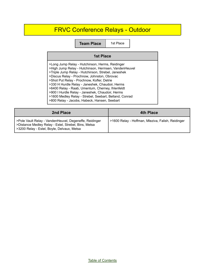## FRVC Conference Relays - Outdoor

| <b>1st Place</b>                                                                                                                                                                                                                                                                                                                                                                                                                                                                                                               |  |
|--------------------------------------------------------------------------------------------------------------------------------------------------------------------------------------------------------------------------------------------------------------------------------------------------------------------------------------------------------------------------------------------------------------------------------------------------------------------------------------------------------------------------------|--|
| >Long Jump Relay - Hutchinson, Herms, Reidinger<br>>High Jump Relay - Hutchinson, Hermsen, VandenHeuvel<br>>Triple Jump Relay - Hutchinson, Strebel, Janeshek<br>>Discus Relay - Prochnow, Johnston, Obrovac<br>>Shot Put Relay - Prochnow, Kofler, Detrie<br>>330 H Hurdle Relay - Janeshek, Chaudoir, Herms<br>>6400 Relay - Raab, Umentum, Cherney, Ihlenfeldt<br>>900 I Hurdle Relay - Janeshek, Chaudoir, Herms<br>>1600 Medley Relay - Strebel, Seebart, Belland, Conrad<br>>800 Relay - Jacobs, Habeck, Hansen, Seebart |  |

| 2nd Place                                                                                                                                                    | <b>4th Place</b>                                  |
|--------------------------------------------------------------------------------------------------------------------------------------------------------------|---------------------------------------------------|
| >Pole Vault Relay - VandenHeuvel, Degeneffe, Reidinger<br>>Distance Medley Relay - Estel, Strebel, Bins, Metsa<br>>3200 Relay - Estel, Boyle, Delvaux, Metsa | >1600 Relay - Hoffman, Mleziva, Falish, Reidinger |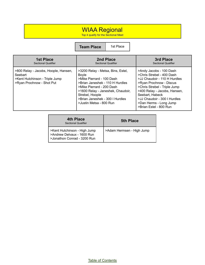#### WIAA Regional

Top 4 qualify for the Sectional Meet

**Team Place** 1st Place

| <b>1st Place</b>                                                                                               | 2nd Place                                                                                                                                                                                                                                                     | 3rd Place                                                                                                                                                                                                                                                                              |
|----------------------------------------------------------------------------------------------------------------|---------------------------------------------------------------------------------------------------------------------------------------------------------------------------------------------------------------------------------------------------------------|----------------------------------------------------------------------------------------------------------------------------------------------------------------------------------------------------------------------------------------------------------------------------------------|
| <b>Sectional Qualifier</b>                                                                                     | <b>Sectional Qualifier</b>                                                                                                                                                                                                                                    | <b>Sectional Qualifier</b>                                                                                                                                                                                                                                                             |
| >800 Relay - Jacobs, Hoople, Hansen,<br>Seebart<br>>Kent Hutchinson - Triple Jump<br>>Ryan Prochnow - Shot Put | >3200 Relay - Metsa, Bins, Estel,<br>Boyle<br>>Mike Pierrard - 100 Dash<br>>Brian Janeshek - 110 H Hurdles<br>>Mike Pierrard - 200 Dash<br>>1600 Relay - Janeshek, Chaudoir,<br>Strebel, Hoople<br>>Brian Janeshek - 300   Hurdles<br>>Justin Metsa - 800 Run | >Andy Jacobs - 100 Dash<br>>Chris Strebel - 400 Dash<br>>JJ Chaudoir - 110 H Hurdles<br>>Ryan Prochnow - Discus<br>>Chris Strebel - Triple Jump<br>>400 Relay - Jacobs, Hansen,<br>Seebart, Habeck<br>>JJ Chaudoir - 300 I Hurdles<br>>Dan Herms - Long Jump<br>>Brian Estel - 800 Run |

| 4th Place<br><b>Sectional Qualifier</b>                                                   | <b>5th Place</b>          |
|-------------------------------------------------------------------------------------------|---------------------------|
| >Kent Hutchinson - High Jump<br>>Andrew Delvaux - 1600 Run<br>>Jonathon Conrad - 3200 Run | >Adam Hermsen - High Jump |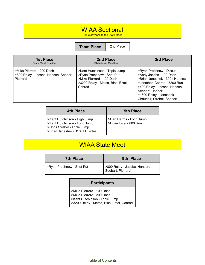#### WIAA Sectional

Top 3 advance to the State Meet

**Team Place** 2nd Place

| 1st Place<br><b>State Meet Qualifier</b>                                       | 2nd Place<br><b>State Meet Qualifier</b>                                                                                                | 3rd Place                                                                                                                                                                                                                        |
|--------------------------------------------------------------------------------|-----------------------------------------------------------------------------------------------------------------------------------------|----------------------------------------------------------------------------------------------------------------------------------------------------------------------------------------------------------------------------------|
| >Mike Pierrard - 200 Dash<br>>800 Relay - Jacobs, Hansen, Seebart,<br>Pierrard | >Kent Hutchinson - Triple Jump<br>>Ryan Prochnow - Shot Put<br>>Mike Pierrard - 100 Dash<br>>3200 Relay - Metsa, Bins, Estel,<br>Conrad | >Ryan Prochnow - Discus<br>>Andy Jacobs - 100 Dash<br>>Brian Janeshek - 300   Hurdles<br>>Jonathon Conrad - 3200 Run<br>>400 Relay - Jacobs, Hansen,<br>Seebart, Habeck<br>>1600 Relay - Janeshek,<br>Chaudoir, Strebel, Seebart |

| <b>4th Place</b>                                                                                                                | <b>5th Place</b>                                 |
|---------------------------------------------------------------------------------------------------------------------------------|--------------------------------------------------|
| >Kent Hutchinson - High Jump<br>>Kent Hutchinson - Long Jump<br>>Chris Strebel - Triple Jump<br>>Brian Janeshek - 110 H Hurdles | >Dan Herms - Long Jump<br>>Brian Estel - 800 Run |

## WIAA State Meet

| <b>7th Place</b>          | 9th Place                                         |
|---------------------------|---------------------------------------------------|
| >Ryan Prochnow - Shot Put | >800 Relay - Jacobs, Hansen,<br>Seebart, Pierrard |

#### **Participants**

>Mike Pierrard - 100 Dash >Mike Pierrard - 200 Dash >Kent Hutchinson - Triple Jump >3200 Relay - Metsa, Bins, Estel, Conrad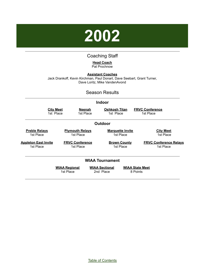

#### Coaching Staff

#### **Head Coach** Pat Prochnow

<span id="page-25-0"></span>**Assistant Coaches** Jack Drankoff, Kevin Kirchman, Paul Donart, Dave Seebart, Grant Turner, Dave Loritz, Mike VandenAvond

#### Season Results

|                                   |                                                                    |                                                                 |  | <b>Indoor</b>                      |                                      |                                    |                                            |
|-----------------------------------|--------------------------------------------------------------------|-----------------------------------------------------------------|--|------------------------------------|--------------------------------------|------------------------------------|--------------------------------------------|
| <b>City Meet</b><br>1st Place     |                                                                    | <b>Neenah</b><br><u>Oshkosh Titan</u><br>1st Place<br>1st Place |  |                                    | <b>FRVC Conference</b><br>1st Place  |                                    |                                            |
|                                   |                                                                    |                                                                 |  | <b>Outdoor</b>                     |                                      |                                    |                                            |
| <b>Preble Relays</b><br>1st Place |                                                                    | <b>Plymouth Relays</b><br>1st Place                             |  |                                    | <b>Marquette Invite</b><br>1st Place |                                    | <b>City Meet</b><br>1st Place              |
| 1st Place                         | <b>Appleton East Invite</b><br><b>FRVC Conference</b><br>1st Place |                                                                 |  | <b>Brown County</b><br>1st Place   |                                      |                                    | <b>FRVC Conference Relays</b><br>1st Place |
|                                   |                                                                    |                                                                 |  | <b>WIAA Tournament</b>             |                                      |                                    |                                            |
|                                   |                                                                    | <b>WIAA Regional</b><br>1st Place                               |  | <b>WIAA Sectional</b><br>2nd Place |                                      | <b>WIAA State Meet</b><br>8 Points |                                            |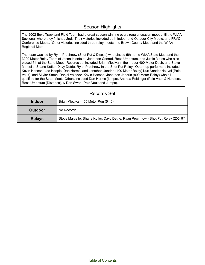#### Season Highlights

The 2002 Boys Track and Field Team had a great season winning every regular season meet until the WIAA Sectional where they finished 2nd. Their victories included both Indoor and Outdoor City Meets, and FRVC Conference Meets. Other victories included three relay meets, the Brown County Meet, and the WIAA Regional Meet.

The team was led by Ryan Prochnow (Shot Put & Discus) who placed 5th at the WIAA State Meet and the 3200 Meter Relay Team of Jason Ihlenfeldt, Jonathon Conrad, Ross Umentum, and Justin Metsa who also placed 5th at the State Meet. Records set included Brian Mleziva in the Indoor 400 Meter Dash, and Steve Marcelle, Shane Kofler, Davy Detrie, Ryan Prochnow in the Shot Put Relay. Other top performers included Kevin Hansen, Lee Hoople, Dan Herms, and Jonathon Jandrin (400 Meter Relay) Kurt VandenHeuvel (Pole Vault), and Skyler Samp, Daniel Valadez, Kevin Hansen, Jonathon Jandrin (800 Meter Relay) who all qualified for the State Meet. Others included Dan Herms (jumps), Andrew Reidinger (Pole Vault & Hurdles), Ross Umentum (Distance), & Dan Swan (Pole Vault and Jumps).

| <b>Indoor</b>  | Brian Mleziva - 400 Meter Run (54.0)                                               |  |
|----------------|------------------------------------------------------------------------------------|--|
| <b>Outdoor</b> | No Records                                                                         |  |
| <b>Relays</b>  | Steve Marcelle, Shane Kofler, Davy Detrie, Ryan Prochnow - Shot Put Relay (205'9") |  |

#### Records Set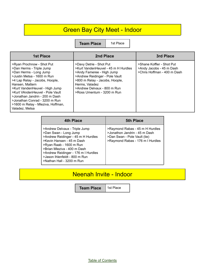## Green Bay City Meet - Indoor

**Team Place** 1st Place

| <b>1st Place</b>                                                                                                                                                                                                                                                                                                                                                  | 2nd Place                                                                                                                                                                                                                                      | 3rd Place                                                                            |
|-------------------------------------------------------------------------------------------------------------------------------------------------------------------------------------------------------------------------------------------------------------------------------------------------------------------------------------------------------------------|------------------------------------------------------------------------------------------------------------------------------------------------------------------------------------------------------------------------------------------------|--------------------------------------------------------------------------------------|
| >Ryan Prochnow - Shot Put<br>>Dan Herms - Triple Jump<br>>Dan Herms - Long Jump<br>>Justin Metsa - 1600 m Run<br>>4 Lap Relay - Jacobs, Hoople,<br>Hansen, Mattern<br>>Kurt VandenHeuvel - High Jump<br>>Kurt VAndenHeuvel - Pole Vault<br>>Jonathan Jandrin - 200 m Dash<br>>Jonathan Conrad - 3200 m Run<br>>1600 m Relay - Mleziva, Hoffman,<br>Valadez. Metsa | >Davy Detrie - Shot Put<br>>Kurt VandenHeuvel - 45 m H Hurdles<br>>Andy Fameree - High Jump<br>>Andrew Reidinger - Pole Vault<br>>800 m Relay - Jacobs, Hoople,<br>Herms, Valadez<br>>Andrew Delvaux - 800 m Run<br>>Ross Umentum - 3200 m Run | >Shane Koffler - Shot Put<br>>Andy Jacobs - 45 m Dash<br>>Chris Hoffman - 400 m Dash |

| 4th Place                                                                                                                                                                                                                                                                                | <b>5th Place</b>                                                                                                                     |
|------------------------------------------------------------------------------------------------------------------------------------------------------------------------------------------------------------------------------------------------------------------------------------------|--------------------------------------------------------------------------------------------------------------------------------------|
| >Andrew Delvaux - Triple Jump<br>>Dan Swan - Long Jump<br>>Andrew Reidinger - 45 m H Hurdles<br>>Kevin Hansen - 45 m Dash<br>>Ryan Raab - 1600 m Run<br>>Brian Mleziva - 400 m Dash<br>>Andrew Reidinger - 176 m I Hurdles<br>>Jason Ihlenfeldt - 800 m Run<br>>Nathan Hall - 3200 m Run | >Raymond Rabas - 45 m H Hurdles<br>>Jonathon Jandrin - 45 m Dash<br>>Dan Swan - Pole Vault (tie)<br>>Raymond Rabas - 176 m I Hurdles |

## Neenah Invite - Indoor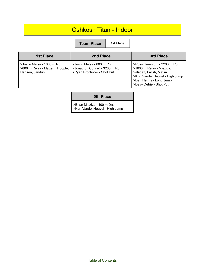#### Oshkosh Titan - Indoor

**Team Place** | 1st Place

| <b>1st Place</b>                                                                 | 2nd Place                                                                               | 3rd Place                                                                                                                                                               |
|----------------------------------------------------------------------------------|-----------------------------------------------------------------------------------------|-------------------------------------------------------------------------------------------------------------------------------------------------------------------------|
| >Justin Metsa - 1600 m Run<br>>800 m Relay - Mattern, Hoople,<br>Hansen, Jandrin | >Justin Metsa - 800 m Run<br>>Jonathon Conrad - 3200 m Run<br>>Ryan Prochnow - Shot Put | >Ross Umentum - 3200 m Run<br>>1600 m Relay - Mleziva,<br>Valadez, Falish, Metsa<br>>Kurt VandenHeuvel - High Jump<br>>Dan Herms - Long Jump<br>>Davy Detrie - Shot Put |

#### **5th Place**

>Brian Mleziva - 400 m Dash >Kurt VandenHeuvel - High Jump

Table of [Contents](#page-1-0)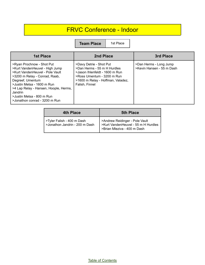## FRVC Conference - Indoor

**Team Place** | 1st Place

| <b>1st Place</b>                                                                                                                                                                                                                                                                                    | 2nd Place                                                                                                                                                                     | 3rd Place                                           |
|-----------------------------------------------------------------------------------------------------------------------------------------------------------------------------------------------------------------------------------------------------------------------------------------------------|-------------------------------------------------------------------------------------------------------------------------------------------------------------------------------|-----------------------------------------------------|
| >Ryan Prochnow - Shot Put<br>>Kurt VandenHeuvel - High Jump<br>>Kurt VandenHeuvel - Pole Vault<br>>3200 m Relay - Conrad, Raab,<br>Degreef, Umentum<br>>Justin Metsa - 1600 m Run<br>>4 Lap Relay - Hansen, Hoople, Herms,<br>Jandrin<br>>Justin Metsa - 800 m Run<br>>Jonathon conrad - 3200 m Run | >Davy Detrie - Shot Put<br>>Dan Herms - 55 m H Hurdles<br>>Jason Ihlenfeldt - 1600 m Run<br>>Ross Umentum - 3200 m Run<br>>1600 m Relay - Hoffman, Valadez,<br>Falish, Finnel | >Dan Herms - Long Jump<br>>Kevin Hansen - 55 m Dash |

| 4th Place                                                    | <b>5th Place</b>                                                                                     |
|--------------------------------------------------------------|------------------------------------------------------------------------------------------------------|
| >Tyler Falish - 400 m Dash<br>>Jonathon Jandrin - 200 m Dash | >Andrew Reidinger - Pole Vault<br>>Kurt VandenHeuvel - 55 m H Hurdles<br>>Brian Mleziva - 400 m Dash |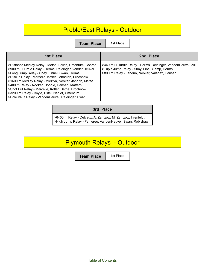## Preble/East Relays - Outdoor

**Team Place** | 1st Place

| <b>1st Place</b>                                                                                                                                                                                                                                                                                                                                                                                                                                                                                    | 2nd Place                                                                                                                                                        |
|-----------------------------------------------------------------------------------------------------------------------------------------------------------------------------------------------------------------------------------------------------------------------------------------------------------------------------------------------------------------------------------------------------------------------------------------------------------------------------------------------------|------------------------------------------------------------------------------------------------------------------------------------------------------------------|
| >Distance Medley Relay - Metsa, Falish, Umentum, Conrad<br>>900 m I Hurdle Relay - Herms, Reidinger, VandenHeuvel<br>>Long Jump Relay - Shay, Finnel, Swan, Herms<br>>Discus Relay - Marcelle, Kofler, Johnston, Prochnow<br>>1600 m Medley Relay - Mleziva, Nooker, Jandrin, Metsa<br>>400 m Relay - Nooker, Hoople, Hansen, Mattern<br>>Shot Put Relay - Marcelle, Kofler, Detrie, Prochnow<br>>3200 m Relay - Boyle, Estel, Naniot, Umentum<br>>Pole Vault Relay - VandenHeuvel, Reidinger, Swan | >440 m H Hurdle Relay - Herms, Reidinger, VandenHeuvel, Zill<br>>Triple Jump Relay - Shay, Finel, Samp, Herms<br>>800 m Relay - Jandrin, Nooker, Valadez, Hansen |

#### **3rd Place**

>6400 m Relay - Delvaux, A. Zamzow, M. Zamzow, Ihlenfeldt >High Jump Relay - Fameree, VandenHeuvel, Swan, Robishaw

#### Plymouth Relays - Outdoor

**Team Place** | 1st Place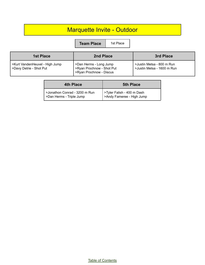## Marquette Invite - Outdoor

**Team Place** | 1st Place

| 1st Place                                                 | 2nd Place                                                                      | 3rd Place                                               |
|-----------------------------------------------------------|--------------------------------------------------------------------------------|---------------------------------------------------------|
| >Kurt VandenHeuvel - High Jump<br>>Davy Detrie - Shot Put | >Dan Herms - Long Jump<br>>Ryan Prochnow - Shot Put<br>>Ryan Prochnow - Discus | >Justin Metsa - 800 m Run<br>>Justin Metsa - 1600 m Run |

| 4th Place                                                 | <b>5th Place</b>                                        |
|-----------------------------------------------------------|---------------------------------------------------------|
| >Jonathon Conrad - 3200 m Run<br>>Dan Herms - Triple Jump | >Tyler Falish - 400 m Dash<br>>Andy Fameree - High Jump |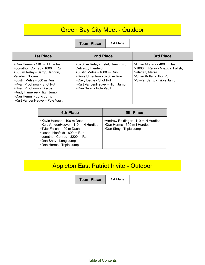## Green Bay City Meet - Outdoor

**Team Place** 1st Place

| <b>1st Place</b>                                                                                                                                                                                                                                                                                 | 2nd Place                                                                                                                                                                                                 | 3rd Place                                                                                                                                  |
|--------------------------------------------------------------------------------------------------------------------------------------------------------------------------------------------------------------------------------------------------------------------------------------------------|-----------------------------------------------------------------------------------------------------------------------------------------------------------------------------------------------------------|--------------------------------------------------------------------------------------------------------------------------------------------|
| >Dan Herms - 110 m H Hurdles<br>>Jonathon Conrad - 1600 m Run<br>>800 m Relay - Samp, Jandrin,<br>Valadez, Nooker<br>>Justin Metsa - 800 m Run<br>>Ryan Prochnow - Shot Put<br>>Ryan Prochnow - Discus<br>>Andy Fameree - High Jump<br>>Dan Herms - Long Jump<br>>Kurt VandenHeuvel - Pole Vault | >3200 m Relay - Estel, Umentum,<br>Delvaux, Ihlenfeldt<br>>Justin Metsa - 1600 m Run<br>>Ross Umentum - 3200 m Run<br>>Davy Detrie - Shot Put<br>>Kurt VandenHeuvel - High Jump<br>>Dan Swan - Pole Vault | >Brian Mleziva - 400 m Dash<br>>1600 m Relay - Mleziva, Falish,<br>Valadez, Metsa<br>>Shan Kofler - Shot Put<br>>Skyler Samp - Triple Jump |

| 4th Place                                                                                                                                                                                                               | <b>5th Place</b>                                                                               |
|-------------------------------------------------------------------------------------------------------------------------------------------------------------------------------------------------------------------------|------------------------------------------------------------------------------------------------|
| >Kevin Hansen - 100 m Dash<br>>Kurt VandenHeuvel - 110 m H Hurdles<br>>Tyler Falish - 400 m Dash<br>>Jason Ihlenfeldt - 800 m Run<br>>Jonathon Conrad - 3200 m Run<br>>Dan Shay - Long Jump<br>>Dan Herms - Triple Jump | >Andrew Reidinger - 110 m H Hurdles<br>>Dan Herms - 300 m I Hurdles<br>>Dan Shay - Triple Jump |

## Appleton East Patriot Invite - Outdoor

**Team Place** | 1st Place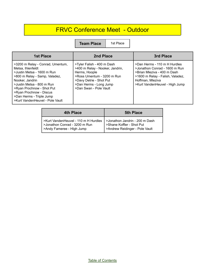## FRVC Conference Meet - Outdoor

**Team Place** | 1st Place

| <b>1st Place</b>                                                                                                                                                                                                                                                                            | 2nd Place                                                                                                                                                                                   | 3rd Place                                                                                                                                                                              |
|---------------------------------------------------------------------------------------------------------------------------------------------------------------------------------------------------------------------------------------------------------------------------------------------|---------------------------------------------------------------------------------------------------------------------------------------------------------------------------------------------|----------------------------------------------------------------------------------------------------------------------------------------------------------------------------------------|
| >3200 m Relay - Conrad, Umentum,<br>Metsa, Ihlenfeldt<br>>Justin Metsa - 1600 m Run<br>>800 m Relay - Samp, Valadez,<br>Nooker, Jandrin<br>>Justin Metsa - 800 m Run<br>>Ryan Prochnow - Shot Put<br>>Ryan Prochnow - Discus<br>>Dan Herms - Triple Jump<br>>Kurt VandenHeuvel - Pole Vault | >Tyler Falish - 400 m Dash<br>>400 m Relay - Nooker, Jandrin,<br>Herms, Hoople<br>>Ross Umentum - 3200 m Run<br>>Davy Detrie - Shot Put<br>>Dan Herms - Long Jump<br>>Dan Swan - Pole Vault | >Dan Herms - 110 m H Hurdles<br>>Jonathon Conrad - 1600 m Run<br>>Brian Mleziva - 400 m Dash<br>>1600 m Relay - Falish, Valadez,<br>Hoffman, Mleziva<br>>Kurt VandenHeuvel - High Jump |

| 4th Place                            | <b>5th Place</b>                |
|--------------------------------------|---------------------------------|
| >Kurt VandenHeuvel - 110 m H Hurdles | Solonathon Jandrin - 200 m Dash |
| >Jonathon Conrad - 3200 m Run        | >Shane Koffler - Shot Put       |
| >Andy Fameree - High Jump            | >Andrew Reidinger - Pole Vault  |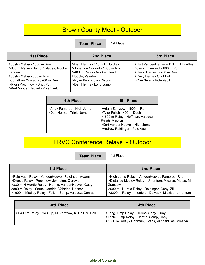## Brown County Meet - Outdoor

**Team Place** | 1st Place

| 1st Place                                                                                                                                                                                                    | 2nd Place                                                                                                                                                                | 3rd Place                                                                                                                                                |
|--------------------------------------------------------------------------------------------------------------------------------------------------------------------------------------------------------------|--------------------------------------------------------------------------------------------------------------------------------------------------------------------------|----------------------------------------------------------------------------------------------------------------------------------------------------------|
| >Justin Metsa - 1600 m Run<br>>800 m Relay - Samp, Valadez, Nooker,<br>Jandrin<br>>Justin Metsa - 800 m Run<br>>Jonathon Conrad - 3200 m Run<br>>Ryan Prochnow - Shot Put<br>>Kurt VandenHeuvel - Pole Vault | >Dan Herms - 110 m H Hurdles<br>>Jonathon Conrad - 1600 m Run<br>>400 m Relay - Nooker, Jandrin,<br>Hoople, Valedez<br>>Ryan Prochnow - Discus<br>>Dan Herms - Long Jump | >Kurt VandenHeuvel - 110 m H Hurdles<br>>Jason Ihlenfeldt - 800 m Run<br>>Kevin Hansen - 200 m Dash<br>>Davy Detrie - Shot Put<br>>Dan Swan - Pole Vault |

| 4th Place                                             | <b>5th Place</b>                                                                                                                                                                    |
|-------------------------------------------------------|-------------------------------------------------------------------------------------------------------------------------------------------------------------------------------------|
| >Andy Fameree - High Jump<br>>Dan Herms - Triple Jump | >Adam Zamzow - 1600 m Run<br>>Tyler Falish - 400 m Dash<br>>1600 m Relay - Hoffman, Valadez,<br>Falish, Mleziva<br>>Kurt VandenHeuvel - High Jump<br>>Andrew Reidinger - Pole Vault |

## FRVC Conference Relays - Outdoor

**Team Place** | 1st Place

| 1st Place                                            | 2nd Place                                             |
|------------------------------------------------------|-------------------------------------------------------|
| >Pole Vault Relay - VandenHeuvel, Reidinger, Adams   | >High Jump Relay - VandenHeuvel, Fameree, Rhein       |
| >Discus Relay - Prochnow, Johnston, Obrovic          | >Distance Medley Relay - Umentum, Mleziva, Metsa, M.  |
| >330 m H Hurdle Relay - Herms, VandenHeuvel, Guay    | Zamzow                                                |
| >800 m Relay - Samp, Jandrin, Valadez, Hansen        | >900 m I Hurdle Relay - Reidinger, Guay, Zill         |
| >1600 m Medley Relay - Falish, Samp, Valedez, Conrad | >3200 m Relay - Ihlenfeldt, Delvaux, Mleziva, Umentum |

| 3rd Place                                           | <b>4th Place</b>                                                                                                                      |
|-----------------------------------------------------|---------------------------------------------------------------------------------------------------------------------------------------|
| >6400 m Relay - Soukup, M. Zamzow, K. Hall, N. Hall | >Long Jump Relay - Herms, Shay, Guay<br>>Triple Jump Relay - Herms, Samp, Shay<br>>1600 m Relay - Hoffman, Evans, VandenPlas, Mleziva |

Table of [Contents](#page-1-0)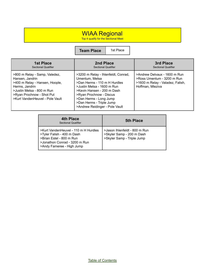#### WIAA Regional

Top 4 qualify for the Sectional Meet

| <b>1st Place</b>                                                                                                                                                                                  | 2nd Place                                                                                                                                                                                                                                                            | 3rd Place                                                                                                          |
|---------------------------------------------------------------------------------------------------------------------------------------------------------------------------------------------------|----------------------------------------------------------------------------------------------------------------------------------------------------------------------------------------------------------------------------------------------------------------------|--------------------------------------------------------------------------------------------------------------------|
| <b>Sectional Qualifier</b>                                                                                                                                                                        | <b>Sectional Qualifier</b>                                                                                                                                                                                                                                           | <b>Sectional Qualifier</b>                                                                                         |
| >800 m Relay - Samp, Valedez,<br>Hansen, Jandrin<br>>400 m Relay - Hansen, Hoople,<br>Herms, Jandrin<br>>Justin Metsa - 800 m Run<br>>Ryan Prochnow - Shot Put<br>>Kurt VandenHeuvel - Pole Vault | >3200 m Relay - Ihlenfeldt, Conrad,<br>Umentum, Metsa<br>>Dan Herms - 110 m H Hurdles<br>>Justin Metsa - 1600 m Run<br>>Kevin Hansen - 200 m Dash<br>>Ryan Prochnow - Discus<br>>Dan Herms - Long Jump<br>>Dan Herms - Triple Jump<br>>Andrew Reidinger - Pole Vault | >Andrew Delvaux - 1600 m Run<br>>Ross Umentum - 3200 m Run<br>>1600 m Relay - Valadez, Falish,<br>Hoffman, Mleziva |

| 4th Place<br><b>Sectional Qualifier</b>                                                                                                                      | <b>5th Place</b>                                                                         |
|--------------------------------------------------------------------------------------------------------------------------------------------------------------|------------------------------------------------------------------------------------------|
| >Kurt VandenHeuvel - 110 m H Hurdles<br>>Tyler Falish - 400 m Dash<br>>Brian Estel - 800 m Run<br>>Jonathon Conrad - 3200 m Run<br>>Andy Fameree - High Jump | >Jason Ihlenfeldt - 800 m Run<br>>Skyler Samp - 200 m Dash<br>>Skyler Samp - Triple Jump |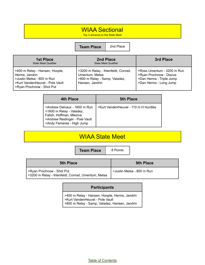#### WIAA Sectional

Top 3 advance to the State Meet

**Team Place** 2nd Place

| <b>1st Place</b><br><b>State Meet Qualifier</b>                                                                                               | 2nd Place<br><b>State Meet Qualifier</b>                                                                  | 3rd Place                                                                                                   |
|-----------------------------------------------------------------------------------------------------------------------------------------------|-----------------------------------------------------------------------------------------------------------|-------------------------------------------------------------------------------------------------------------|
| >400 m Relay - Hansen, Hoople,<br>Herms, Jandrin<br>>Justin Metsa - 800 m Run<br>>Kurt VandenHeuvel - Pole Vault<br>>Ryan Prochnow - Shot Put | >3200 m Relay - Ihlenfeldt, Conrad,<br>Umentum, Metsa<br>>800 m Relay - Samp, Valadez,<br>Hansen, Jandrin | >Ross Umentum - 3200 m Run<br>>Ryan Prochnow - Discus<br>>Dan Herms - Triple Jump<br>>Dan Herms - Long Jump |

| 4th Place                                                                                                                                           | <b>5th Place</b>                     |
|-----------------------------------------------------------------------------------------------------------------------------------------------------|--------------------------------------|
| >Andrew Delvaux - 1600 m Run<br>>1600 m Relay - Valadez,<br>Falish, Hoffman, Mleziva<br>>Andrew Reidinger - Pole Vault<br>>Andy Fameree - High Jump | >Kurt VandenHeuvel - 110 m H Hurdles |

#### WIAA State Meet

**Team Place** 8 Points

| <b>5th Place</b>                                                                | <b>9th Place</b>                       |
|---------------------------------------------------------------------------------|----------------------------------------|
| >Ryan Prochnow - Shot Put<br>>3200 m Relay - Ihlenfeldt, Conrad, Umentum, Metsa | <sup>1</sup> >Justin Metsa - 800 m Run |

#### **Participants**

>400 m Relay - Hansen, Hoople, Herms, Jandrin >Kurt VandenHeuvel - Pole Vault >800 m Relay - Samp, Valadez, Hansen, Jandrin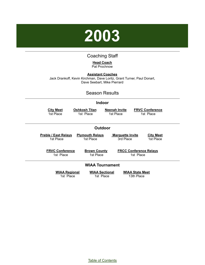

#### Coaching Staff

#### **Head Coach** Pat Prochnow

<span id="page-37-0"></span>**Assistant Coaches** Jack Drankoff, Kevin Kirchman, Dave Loritz, Grant Turner, Paul Donart, Dave Seebart, Mike Pierrard

#### Season Results

#### **Indoor**

| <b>City Meet</b>            | <b>Oshkosh Titan</b>   | <b>Neenah Invite</b>          | <b>FRVC Conference</b> |
|-----------------------------|------------------------|-------------------------------|------------------------|
| 1st Place                   | 1st Place              | 1st Place                     | 1st Place              |
| Outdoor                     |                        |                               |                        |
| <b>Preble / East Relays</b> | <b>Plymouth Relays</b> | <b>Marquette Invite</b>       | <b>City Meet</b>       |
| 1st Place                   | 1st Place              | 3rd Place                     | 1st Place              |
| <b>FRVC Conference</b>      | <b>Brown County</b>    | <b>FRCC Conference Relays</b> |                        |
| 1st Place                   | 1st Place              | 1st Place                     |                        |
| <b>WIAA Tournament</b>      |                        |                               |                        |
| <b>WIAA Regional</b>        | <b>WIAA Sectional</b>  | <b>WIAA State Meet</b>        |                        |
| 1st Place                   | 1st Place              | 13th Place                    |                        |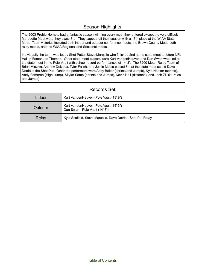#### Season Highlights

The 2003 Preble Hornets had a fantastic season winning every meet they entered except the very difficult Marquette Meet were they place 3rd. They capped off their season with a 13th place at the WIAA State Meet. Team victories included both indoor and outdoor conference meets, the Brown County Meet, both relay meets, and the WIAA Regional and Sectional meets.

Individually the team was let by Shot Putter Steve Marcelle who finished 2nd at the state meet to future NFL Hall of Famer Joe Thomas. Other state meet placers were Kurt VandenHeuven and Dan Swan who tied at the state meet in the Pole Vault with school record performances of 14' 3". The 3200 Meter Relay Team of Brian Mleziva, Andrew Delvaux, Tyler Falish, and Justin Metsa placed 8th at the state meet as did Dave Detrie in the Shot Put. Other top performers were Andy Belter (sprints and Jumps), Kyle Nooker (sprints), Andy Fameree (High Jump), Skyler Samp (sprints and Jumps), Kevin Hall (distance), and Josh Zill (Hurdles and Jumps)

| Indoor  | Kurt VandenHeuvel - Pole Vault (13' 9")                                   |
|---------|---------------------------------------------------------------------------|
| Outdoor | Kurt VandenHeuvel - Pole Vault (14' 3")<br>Dan Swan - Pole Vault (14' 3") |
| Relay   | Kyle Scofield, Steve Marcelle, Dave Detrie - Shot Put Relay               |

#### Records Set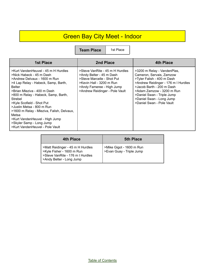## Green Bay City Meet - Indoor

**Team Place** 

| 1st Place |  |
|-----------|--|
|-----------|--|

| <b>1st Place</b>                                                                                                                                                                                                                                                                                                                                                                                                                                   | 2nd Place                                                                                                                                                                            | <b>4th Place</b>                                                                                                                                                                                                                                                              |
|----------------------------------------------------------------------------------------------------------------------------------------------------------------------------------------------------------------------------------------------------------------------------------------------------------------------------------------------------------------------------------------------------------------------------------------------------|--------------------------------------------------------------------------------------------------------------------------------------------------------------------------------------|-------------------------------------------------------------------------------------------------------------------------------------------------------------------------------------------------------------------------------------------------------------------------------|
| >Kurt VandenHeuvel - 45 m H Hurdles<br>>Nick Habeck - 45 m Dash<br>>Andrew Delvaux - 1600 m Run<br>>4 Lap Relay - Habeck, Samp, Barth,<br>Belter<br>>Brian Mleziva - 400 m Dash<br>>800 m Relay - Habeck, Samp, Barth,<br>Strebel<br>>Kyle Scofield - Shot Put<br>>Justin Metsa - 800 m Run<br>>1600 m Relay - Mleziva, Falish, Delvaux,<br>Metsa<br>>Kurt VandenHeuvel - High Jump<br>>Skyler Samp - Long Jump<br>>Kurt VandenHeuvel - Pole Vault | >Steve VanRite - 45 m H Hurdles<br>>Andy Belter - 45 m Dash<br>>Steve Marcelle - Shot Put<br>>Kevin Hall - 3200 m Run<br>>Andy Fameree - High Jump<br>>Andrew Reidinger - Pole Vault | >3200 m Relay - VandenPlas,<br>Cameron, Servais, Zamzow<br>>Tyler Falish - 400 m Dash<br>>Andrew Reidinger - 176 m I Hurdles<br>>Jacob Barth - 200 m Dash<br>>Adam Zamzow - 3200 m Run<br>>Daniel Swan - Triple Jump<br>>Daniel Swan - Long Jump<br>>Daniel Swan - Pole Vault |

| 4th Place                                                                                                                     | <b>5th Place</b>                                     |
|-------------------------------------------------------------------------------------------------------------------------------|------------------------------------------------------|
| >Matt Reidinger - 45 m H Hurdles<br>>Kyle Fisher - 1600 m Run<br>>Steve VanRite - 176 m I Hurdles<br>>Andy Belter - Long Jump | >Mike Gigot - 1600 m Run<br>>Evan Guay - Triple Jump |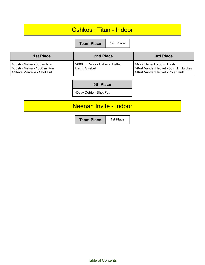#### Oshkosh Titan - Indoor

**Team Place** 1st Place

| <b>1st Place</b>                                                                      | 2nd Place                                        | 3rd Place                                                                                          |
|---------------------------------------------------------------------------------------|--------------------------------------------------|----------------------------------------------------------------------------------------------------|
| >Justin Metsa - 800 m Run<br>>Justin Metsa - 1600 m Run<br>>Steve Marcelle - Shot Put | >800 m Relay - Habeck, Belter,<br>Barth, Strebel | >Nick Habeck - 55 m Dash<br>>Kurt VandenHeuvel - 55 m H Hurdles<br>>Kurt VandenHeuvel - Pole Vault |

#### **5th Place**

>Davy Detrie - Shot Put

#### Neenah Invite - Indoor

**Team Place** 1st Place

Table of [Contents](#page-1-0)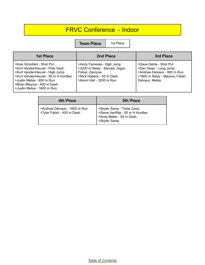## FRVC Conference - Indoor

| <b>1st Place</b>                                                                                                                                                                                                                 | 2nd Place                                                                                                                              | 3rd Place                                                                                                                             |
|----------------------------------------------------------------------------------------------------------------------------------------------------------------------------------------------------------------------------------|----------------------------------------------------------------------------------------------------------------------------------------|---------------------------------------------------------------------------------------------------------------------------------------|
| >Kyle Schofield - Shot Put<br>>Kurt VandenHeuvel - Pole Vault<br>>Kurt VandenHeuvel - High Jump<br>>Kurt VandenHeuvel - 55 m H Hurdles<br>>Justin Metsa - 800 m Run<br>>Brian Mleziva - 400 m Dash<br>>Justin Metsa - 1600 m Run | >Andy Fameree - High Jump<br>>3200 m Relay - Servais, Gigot,<br>Fisher, Zamzow<br>>Nick Habeck - 55 m Dash<br>>Kevin Hall - 3200 m Run | >Dave Detrie - Shot Put<br>>Dan Swan - Long Jump<br>>Andrew Delvaux - 800 m Run<br>>1600 m Relay - Mleziva, Falish,<br>Delvaux, Metsa |

| 4th Place                    | 5th Place                                                     |
|------------------------------|---------------------------------------------------------------|
| >Andrew Delvaux - 1600 m Run | >Skyler Samp - Triple Jump<br>>Steve VanRite - 55 m H Hurdles |
| >Tyler Falish - 400 m Dash   | >Andy Belter - 55 m Dash<br>>Skyler Samp                      |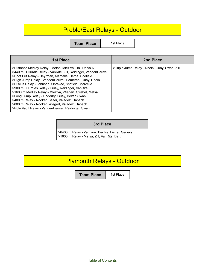#### Preble/East Relays - Outdoor

**Team Place** 1st Place

| <b>1st Place</b>                                                                                                                                                                                                                                                                                                                                                                                                                                                                                                                                                                                                              | 2nd Place                                    |
|-------------------------------------------------------------------------------------------------------------------------------------------------------------------------------------------------------------------------------------------------------------------------------------------------------------------------------------------------------------------------------------------------------------------------------------------------------------------------------------------------------------------------------------------------------------------------------------------------------------------------------|----------------------------------------------|
| >Distance Medley Relay - Metsa, Mleziva, Hall Delvaux<br>>440 m H Hurdle Relay - VanRite, Zill, Reidinger, VandenHeuvel<br>>Shot Put Relay - Heyrman, Marcelle, Detrie, Scofield<br>>High Jump Relay - VandenHeuvel, Fameree, Guay, Rhein<br>>Discus Relay - Johnson, Obravac, Scofield, Marcelle<br>>900 m I Hurdles Relay - Guay, Reidinger, VanRite<br>>1600 m Medley Relay - Mleziva, Wiegert, Strebel, Metsa<br>>Long Jump Relay - Enderby, Guay, Belter, Swan<br>>400 m Relay - Nooker, Belter, Valadez, Habeck<br>>800 m Relay - Nooker, Wiegert, Valadez, Habeck<br>>Pole Vault Relay - VandenHeuvel, Reidinger, Swan | >Triple Jump Relay - Rhein, Guay, Swan, Zill |

#### **3rd Place**

>6400 m Relay - Zamzow, Bechle, Fisher, Servais >1600 m Relay - Metsa, Zill, VanRite, Barth

## Plymouth Relays - Outdoor

**Team Place** | 1st Place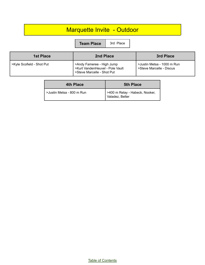## Marquette Invite - Outdoor

**Team Place** 3rd Place

| <b>1st Place</b>          | 2nd Place                                                                                  | 3rd Place                                              |
|---------------------------|--------------------------------------------------------------------------------------------|--------------------------------------------------------|
| >Kyle Scofield - Shot Put | >Andy Fameree - High Jump<br>>Kurt VandenHeuvel - Pole Vault<br>>Steve Marcelle - Shot Put | >Justin Metsa - 1000 m Run<br>>Steve Marcelle - Discus |

| <b>4th Place</b>          | <b>5th Place</b>                                  |
|---------------------------|---------------------------------------------------|
| >Justin Metsa - 800 m Run | >400 m Relay - Habeck, Nooker,<br>Valadez, Belter |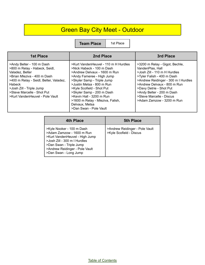## Green Bay City Meet - Outdoor

| <b>1st Place</b>                                                                                                                                                                                                                                              | 2nd Place                                                                                                                                                                                                                                                                                                                                                       | 3rd Place                                                                                                                                                                                                                                                                                               |
|---------------------------------------------------------------------------------------------------------------------------------------------------------------------------------------------------------------------------------------------------------------|-----------------------------------------------------------------------------------------------------------------------------------------------------------------------------------------------------------------------------------------------------------------------------------------------------------------------------------------------------------------|---------------------------------------------------------------------------------------------------------------------------------------------------------------------------------------------------------------------------------------------------------------------------------------------------------|
| >Andy Belter - 100 m Dash<br>>800 m Relay - Habeck, Seidl,<br>Valadez, Belter<br>>Brian Mleziva - 400 m Dash<br>>400 m Relay - Seidl, Belter, Valadez,<br>Habeck<br>>Josh Zill - Triple Jump<br>>Steve Marcelle - Shot Put<br>>Kurt VandenHeuvel - Pole Vault | >Kurt VandenHeuvel - 110 m H Hurdles<br>>Nick Habeck - 100 m Dash<br>>Andrew Delvaux - 1600 m Run<br>>Andy Fameree - High Jump<br>>Skyler Samp - Triple Jump<br>>Justin Metsa - 800 m Run<br>>Kyle Scofield - Shot Put<br>>Skyler Samp - 200 m Dash<br>>Kevin Hall - 3200 m Run<br>>1600 m Relay - Mleziva, Falish,<br>Delvaux, Metsa<br>>Dan Swan - Pole Vault | >3200 m Relay - Gigot, Bechle,<br>VandenPlas, Hall<br>>Josh Zill - 110 m H Hurdles<br>>Tyler Falish - 400 m Dash<br>>Andrew Reidinger - 300 m I Hurdles<br>>Andrew Delvaux - 800 m Run<br>>Davy Detrie - Shot Put<br>>Andy Belter - 200 m Dash<br>>Steve Marcelle - Discus<br>>Adam Zamzow - 3200 m Run |

| 4th Place                                                                                                                                                                                                      | <b>5th Place</b>                                          |
|----------------------------------------------------------------------------------------------------------------------------------------------------------------------------------------------------------------|-----------------------------------------------------------|
| >Kyle Nooker - 100 m Dash<br>>Adam Zamzow - 1600 m Run<br>>Kurt VandenHeuvel - High Jump<br>>Josh Zill - 300 m I Hurdles<br>>Dan Swan - Triple Jump<br>>Andrew Reidinger - Pole Vault<br>>Dan Swan - Long Jump | >Andrew Reidinger - Pole Vault<br>>Kyle Scofield - Discus |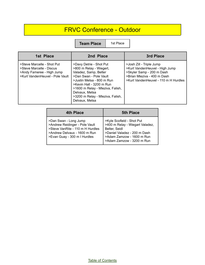## FRVC Conference - Outdoor

| 1st Place                                                                                                              | 2nd Place                                                                                                                                                                                                                                                                  | 3rd Place                                                                                                                                                      |
|------------------------------------------------------------------------------------------------------------------------|----------------------------------------------------------------------------------------------------------------------------------------------------------------------------------------------------------------------------------------------------------------------------|----------------------------------------------------------------------------------------------------------------------------------------------------------------|
| >Steve Marcelle - Shot Put<br>>Steve Marcelle - Discus<br>>Andy Fameree - High Jump<br>>Kurt VandenHeuvel - Pole Vault | >Davy Detrie - Shot Put<br>>800 m Relay - Wiegert,<br>Valadez, Samp, Belter<br>>Dan Swan - Pole Vault<br>>Justin Metsa - 800 m Run<br>>Kevin Hall - 3200 m Run<br>>1600 m Relay - Mleziva, Falish,<br>Delvaux, Metsa<br>>3200 m Relay - Mleziva, Falish,<br>Delvaux, Metsa | >Josh Zill - Triple Jump<br>>Kurt VandenHeuvel - High Jump<br>>Skyler Samp - 200 m Dash<br>>Brian Mleziva - 400 m Dash<br>>Kurt VandenHeuvel - 110 m H Hurdles |

| 4th Place                                                                                                                                                   | <b>5th Place</b>                                                                                                                                                        |
|-------------------------------------------------------------------------------------------------------------------------------------------------------------|-------------------------------------------------------------------------------------------------------------------------------------------------------------------------|
| >Dan Swan - Long Jump<br>>Andrew Reidinger - Pole Vault<br>>Steve VanRite - 110 m H Hurdles<br>>Andrew Delvaux - 1600 m Run<br>>Evan Guay - 300 m I Hurdles | >Kyle Scofield - Shot Put<br>>400 m Relay - Wiegart Valadez,<br>Belter, Seidl<br>>Daniel Valadez - 200 m Dash<br>>Adam Zamzow - 1600 m Run<br>>Adam Zamzow - 3200 m Run |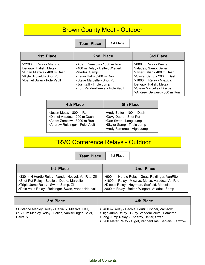## Brown County Meet - Outdoor

**Team Place** | 1st Place

| 1st Place                                                                                                                                   | 2nd Place                                                                                                                                                                                              | 3rd Place                                                                                                                                                                                                                    |
|---------------------------------------------------------------------------------------------------------------------------------------------|--------------------------------------------------------------------------------------------------------------------------------------------------------------------------------------------------------|------------------------------------------------------------------------------------------------------------------------------------------------------------------------------------------------------------------------------|
| >3200 m Relay - Mleziva,<br>Delvaux, Falish, Metsa<br>>Brian Mleziva - 400 m Dash<br>>Kyle Scofield - Shot Put<br>>Daniel Swan - Pole Vault | >Adam Zamzow - 1600 m Run<br>>400 m Relay - Belter, Wiegert,<br>Valadez, Samp<br>>Kevin Hall - 3200 m Run<br>>Steve Marcelle - Shot Put<br>>Josh Zill - Triple Jump<br>>Kurt VandenHeuvel - Pole Vault | >800 m Relay - Wiegert,<br>Valadez, Samp, Belter<br>>Tyler Falish - 400 m Dash<br>>Skyler Samp - 200 m Dash<br>>1600 m Relay - Mleziva,<br>Delvaux, Falish, Metsa<br>>Steve Marcelle - Discus<br>>Andrew Delvaux - 800 m Run |

| <b>4th Place</b>                                                                                                         | <b>5th Place</b>                                                                                                                         |
|--------------------------------------------------------------------------------------------------------------------------|------------------------------------------------------------------------------------------------------------------------------------------|
| >Justin Metsa - 800 m Run<br>>Daniel Valadez - 200 m Dash<br>>Adam Zamzow - 3200 m Run<br>>Andrew Reidinger - Pole Vault | >Andy Belter - 100 m Dash<br>>Davy Detrie - Shot Put<br>>Dan Swan - Long Jump<br>>Skyler Samp - Triple Jump<br>>Andy Fameree - High Jump |

## FRVC Conference Relays - Outdoor

**Team Place** | 1st Place

| 1st Place                                           | 2nd Place                                        |
|-----------------------------------------------------|--------------------------------------------------|
| >330 m H Hurdle Relay - VandenHeuvel, VanRite, Zill | >900 m I Hurdle Relay - Guay, Reidinger, VanRite |
| >Shot Put Relay - Scofield, Detrie, Marcelle        | >1600 m Relay - Mleziva, Metsa, Valadez, VanRite |
| >Triple Jump Relay - Swan, Samp, Zill               | >Discus Relay - Heyrman, Scofield, Marcelle      |
| >Pole Vault Relay - Reidinger, Swan, VandenHeuvel   | >800 m Relay - Belter, Wiegert, Valadez, Samp    |

| 3rd Place                                                                                                          | 4th Place                                                                                                                                                                                               |
|--------------------------------------------------------------------------------------------------------------------|---------------------------------------------------------------------------------------------------------------------------------------------------------------------------------------------------------|
| >Distance Medley Relay - Delvaux, Mleziva, Hall,<br>>1600 m Medley Relay - Falish, VanBellinger, Seidl,<br>Delvaux | >6400 m Relay - Bechle, Loritz, Fischer, Zamzow<br>>High Jump Relay - Guay, VandenHeuvel, Fameree<br>>Long Jump Relay - Enderby, Belter, Swan<br>>3200 Meter Relay - Gigot, VandenPlas, Servais, Zamzow |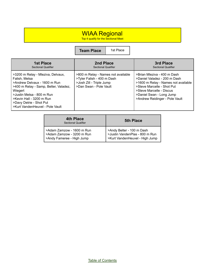#### WIAA Regional

Top 4 qualify for the Sectional Meet

**Team Place** 1st Place

| <b>1st Place</b>                                                                                                                                                                                                                                              | 2nd Place                                                                                                              | 3rd Place                                                                                                                                                                                                                  |
|---------------------------------------------------------------------------------------------------------------------------------------------------------------------------------------------------------------------------------------------------------------|------------------------------------------------------------------------------------------------------------------------|----------------------------------------------------------------------------------------------------------------------------------------------------------------------------------------------------------------------------|
| Sectional Qualifier                                                                                                                                                                                                                                           | <b>Sectional Qualifier</b>                                                                                             | <b>Sectional Qualifier</b>                                                                                                                                                                                                 |
| >3200 m Relay - Mleziva, Delvaux,<br>Falish, Metsa<br>>Andrew Delvaux - 1600 m Run<br>>400 m Relay - Samp, Belter, Valadez,<br>Wiegert<br>>Justin Metsa - 800 m Run<br>>Kevin Hall - 3200 m Run<br>>Davy Detrie - Shot Put<br>>Kurt VandenHeuvel - Pole Vault | >800 m Relay - Names not available<br>>Tyler Falish - 400 m Dash<br>>Josh Zill - Triple Jump<br>>Dan Swan - Pole Vault | >Brian Mleziva - 400 m Dash<br>>Daniel Valadez - 200 m Dash<br>>1600 m Relay - Names not available<br>>Steve Marcelle - Shot Put<br>>Steve Marcelle - Discus<br>>Daniel Swan - Long Jump<br>>Andrew Reidinger - Pole Vault |

| 4th Place<br><b>Sectional Qualifier</b>                                             | <b>5th Place</b>                                                                              |
|-------------------------------------------------------------------------------------|-----------------------------------------------------------------------------------------------|
| >Adam Zamzow - 1600 m Run<br>>Adam Zamzow - 3200 m Run<br>>Andy Fameree - High Jump | >Andy Belter - 100 m Dash<br>>Justin VandenPlas - 800 m Run<br>>Kurt VandenHeuvel - High Jump |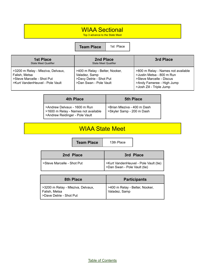#### WIAA Sectional

Top 3 advance to the State Meet

**Team Place** | 1st Place

| <b>1st Place</b><br><b>State Meet Qualifier</b>                                                                     | 2nd Place<br><b>State Meet Qualifier</b>                                                             | 3rd Place                                                                                                                                            |
|---------------------------------------------------------------------------------------------------------------------|------------------------------------------------------------------------------------------------------|------------------------------------------------------------------------------------------------------------------------------------------------------|
| >3200 m Relay - Mleziva, Delvaux,<br>Falish, Metsa<br>>Steve Marcelle - Shot Put<br>>Kurt VandenHeuvel - Pole Vault | >400 m Relay - Belter, Nooker,<br>Valadez, Samp<br>>Davy Detrie - Shot Put<br>>Dan Swan - Pole Vault | >800 m Relay - Names not available<br>>Justin Metsa - 800 m Run<br>>Steve Marcelle - Discus<br>>Andy Fameree - High Jump<br>>Josh Zill - Triple Jump |

| <b>4th Place</b>                                                                                      | <b>5th Place</b>                                           |
|-------------------------------------------------------------------------------------------------------|------------------------------------------------------------|
| >Andrew Delvaux - 1600 m Run<br>>1600 m Relay - Names not available<br>>Andrew Reidinger - Pole Vault | >Brian Mleziva - 400 m Dash<br>  >Skyler Samp - 200 m Dash |

## WIAA State Meet

| <b>Team Place</b> | 131 |
|-------------------|-----|
|                   |     |

| 13th Place |  |  |
|------------|--|--|
|------------|--|--|

| 2nd Place                  | 3rd Place                                                               |
|----------------------------|-------------------------------------------------------------------------|
| >Steve Marcelle - Shot Put | >Kurt VandenHeuvel - Pole Vault (tie)<br>  >Dan Swan - Pole Vault (tie) |

| 8th Place                                                                       | <b>Participants</b>                             |
|---------------------------------------------------------------------------------|-------------------------------------------------|
| >3200 m Relay - Mleziva, Delvaux,<br>  Falish, Metsa<br>>Dave Detrie - Shot Put | >400 m Relay - Belter, Nooker,<br>Valadez, Samp |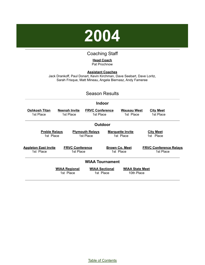

#### Coaching Staff

#### **Head Coach** Pat Prochnow

<span id="page-49-0"></span>**Assistant Coaches** Jack Drankoff, Paul Donart, Kevin Kirchman, Dave Seebart, Dave Loritz, Sarah Frisque, Matt Mineau, Angela Biernasz, Andy Fameree

#### Season Results

#### **Indoor**

| Oshkosh Titan<br>1st Place               | Neenah Invite<br>1st Place          | <b>FRVC Conference</b><br>1st Place | <b>Wausau West</b><br>1st Place      | <b>City Meet</b><br>1st Place              |
|------------------------------------------|-------------------------------------|-------------------------------------|--------------------------------------|--------------------------------------------|
|                                          |                                     | <b>Outdoor</b>                      |                                      |                                            |
| <b>Preble Relays</b><br>1st Place        |                                     | <b>Plymouth Relays</b><br>1st Place | <b>Marquette Invite</b><br>1st Place | <b>City Meet</b><br>1st Place              |
| <b>Appleton East Invite</b><br>1st Place | <b>FRVC Conference</b><br>1st Place |                                     | <b>Brown Co. Meet</b><br>1st Place   | <b>FRVC Conference Relays</b><br>1st Place |
|                                          |                                     | <b>WIAA Tournament</b>              |                                      |                                            |
|                                          | <b>WIAA Regional</b><br>1st Place   | <b>WIAA Sectional</b><br>1st Place  | <b>WIAA State Meet</b><br>10th Place |                                            |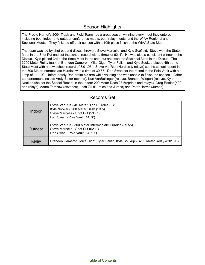The Preble Hornet's 2004 Track and Field Team had a great season winning every meet they entered including both indoor and outdoor conference meets, both relay meets, and the WIAA Regional and Sectional Meets. They finished off their season with a 10th place finish at the WIAA State Meet.

The team was led by shot put and discus throwers Steve Marcelle and Kyle Scofield. Steve won the State Meet in the Shot Put and set the school record with a throw of 62' 1". He was also a consistent winner in the Discus. Kyle placed 3rd at the State Meet in the shot put and won the Sectional Meet in the Discus. The 3200 Meter Relay team of Brandon Cameron, Mike Gigot, Tyler Falish, and Kyle Soukup placed 4th at the State Meet with a new school record of 8:01.95. . Steve VanRite (Hurdles & relays) set the school record in the 300 Meter Intermediate Hurdles with a time of 39.55. Dan Swan set the record in the Pole Vault with a jump of 14' 10". Unfortunately Dan broke his arm while vaulting and was unable to finish the season. Other top performers include Andy Belter (sprints), Kurt VanBellinger (relays), Brandon Wiegert (relays), Kyle Nooker who set the School Record in the Indoor 200 Meter Dash 23.5(sprints and relays), Greg Rettler (400 and relays), Adam Zamzow (distance), Josh Zill (Hurdles and Jumps) and Peter Herms (Jumps)

#### Records Set

| Indoor  | Steve VanRite - 45 Meter High Hulrdles (6.8)<br>Kyle Nooker - 200 Meter Dash (23.5)<br>Steve Marcelle - Shot Put (59' 8")<br>Dan Swan - Pole Vault (14' 0") |
|---------|-------------------------------------------------------------------------------------------------------------------------------------------------------------|
| Outdoor | Steve VanRite - 300 Meter Intermediate Hurdles (39.55)<br>Steve Marcelle - Shot Put (62'1")<br>Dan Swan - Pole Vault (14' 10")                              |
| Relay   | Brandon Cameron, Mike Gigot, Tyler Falish, Kyle Soukup - 3200 Meter Relay (8:01.95)                                                                         |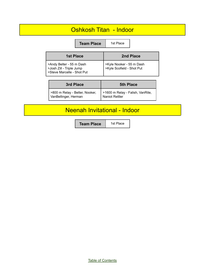#### Oshkosh Titan - Indoor

|                                                                                    | <b>Team Place</b> | 1st Place                                             |               |
|------------------------------------------------------------------------------------|-------------------|-------------------------------------------------------|---------------|
| <b>1st Place</b>                                                                   |                   |                                                       | 2nd Place     |
| >Andy Belter - 55 m Dash<br>>Josh Zill - Triple Jump<br>>Steve Marcelle - Shot Put |                   | >Kyle Nooker - 55 m Dash<br>>Kyle Scofield - Shot Put |               |
| <b>D.J.DIAA.</b>                                                                   |                   |                                                       | <u>LDIAAA</u> |

| 3rd Place                                              | <b>5th Place</b>                                   |
|--------------------------------------------------------|----------------------------------------------------|
| >800 m Relay - Belter, Nooker,<br>VanBellinger, Herman | >1600 m Relay - Falish, VanRite,<br>Naniot Rettler |

## Neenah Invitational - Indoor

**Team Place** | 1st Place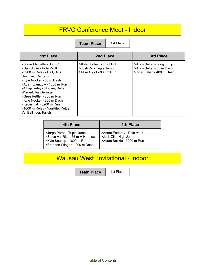## FRVC Conference Meet - Indoor

**Team Place** | 1st Place

| <b>1st Place</b>                                                                                                                                                                                                                                                                                                                                                                | 2nd Place                                                                        | 3rd Place                                                                          |
|---------------------------------------------------------------------------------------------------------------------------------------------------------------------------------------------------------------------------------------------------------------------------------------------------------------------------------------------------------------------------------|----------------------------------------------------------------------------------|------------------------------------------------------------------------------------|
| >Steve Marcelle - Shot Put<br>>Dan Swan - Pole Vault<br>>3200 m Relay - Hall, Bins,<br>Seervais, Cameron<br>>Kyle Nooker - 55 m Dash<br>>Adam Zamzow - 1600 m Run<br>>4 Lap Relay - Nooker, Belter,<br>Wiegert, VanBellinger<br>>Greg Rettler - 800 m Run<br>>Kyle Nooker - 200 m Dash<br>>Kevin Hall - 3200 m Run<br>>1600 m Relay - VanRite, Rettler,<br>VanBellinger, Falish | >Kyle Scofield - Shot Put<br>>Josh Zill - Triple Jump<br>>Mike Gigot - 800 m Run | >Andy Belter - Long Jump<br>>Andy Belter - 55 m Dash<br>>Tyler Falish - 400 m Dash |

| <b>4th Place</b>                                                                                                            | <b>5th Place</b>                                                                  |
|-----------------------------------------------------------------------------------------------------------------------------|-----------------------------------------------------------------------------------|
| >Jorge Perez - Triple Jump<br>>Steve VanRite - 55 m H Hurdles<br>>Kyle Soukup - 1600 m Run<br>>Brandon Wiegert - 200 m Dash | >Adam Enderby - Pole Vault<br>>Josh Zill - High Jump<br>>Adam Beckle - 3200 m Run |

## Wausau West Invitational - Indoor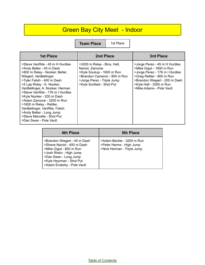## Green Bay City Meet - Indoor

| <b>1st Place</b>                                                                                                                                                                                                                                                                                                                                                                                                                                                    | 2nd Place                                                                                                                                                             | 3rd Place                                                                                                                                                                                                        |
|---------------------------------------------------------------------------------------------------------------------------------------------------------------------------------------------------------------------------------------------------------------------------------------------------------------------------------------------------------------------------------------------------------------------------------------------------------------------|-----------------------------------------------------------------------------------------------------------------------------------------------------------------------|------------------------------------------------------------------------------------------------------------------------------------------------------------------------------------------------------------------|
| >Steve VanRite - 45 m H Hurdles<br>>Andy Belter - 45 m Dash<br>>800 m Relay - Nooker, Belter,<br>Wiegert, VanBellinger<br>>Tyler Falish - 400 m Dash<br>>4 Lap Relay - K. Nooker,<br>VanBellinger, A. Nooker, Herman<br>>Steve VanRite - 176 m I Hurdles<br>>Kyle Nooker - 200 m Dash<br>>Adam Zamzow - 3200 m Run<br>>1600 m Relay - Rettler,<br>VanBellinger, VanRite, Falish<br>>Andy Belter - Long Jump<br>>Steve Marcelle - Shot Put<br>>Dan Swan - Pole Vault | >3200 m Relay - Bins, Hall,<br>Naniot, Zamzow<br>>Kyle Soukup - 1600 m Run<br>>Brandon Cameron - 800 m Run<br>>Jorge Perez - Triple Jump<br>>Kyle Scofield - Shot Put | >Jorge Perez - 45 m H Hurdles<br>>Mike Gigot - 1600 m Run<br>>Jorge Perez - 176 m I Hurdles<br>>Greg Rettler - 800 m Run<br>>Brandon Wiegert - 200 m Dash<br>>Kyle Hall - 3200 m Run<br>>Mike Adams - Pole Vault |

| <b>4th Place</b>                                                                                                                                                                                    | <b>5th Place</b>                                                                    |
|-----------------------------------------------------------------------------------------------------------------------------------------------------------------------------------------------------|-------------------------------------------------------------------------------------|
| >Brandon Wiegert - 45 m Dash<br>>Shane Naniot - 400 m Dash<br>>Mike Gigot - 800 m Run<br>>Josh Rhein - High Jump<br>>Dan Swan - Long Jump<br>>Kyle Heyrman - Shot Put<br>>Adam Enderby - Pole Vault | >Adam Bechle - 3200 m Run<br>>Peter Herms - High Jump<br>>Nick Herman - Triple Jump |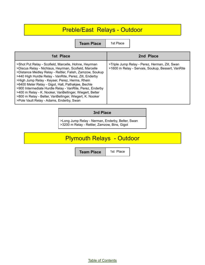## Preble/East Relays - Outdoor

**Team Place** | 1st Place

| 1st Place<br>2nd Place<br>>Triple Jump Relay - Perez, Herman, Zill, Swan<br>>Shot Put Relay - Scofield, Marcelle, Hohne, Heyrman                                                                                                                                                                                                                                                                                                                         |                                                       |                                                   |
|----------------------------------------------------------------------------------------------------------------------------------------------------------------------------------------------------------------------------------------------------------------------------------------------------------------------------------------------------------------------------------------------------------------------------------------------------------|-------------------------------------------------------|---------------------------------------------------|
|                                                                                                                                                                                                                                                                                                                                                                                                                                                          |                                                       |                                                   |
| >Distance Medley Relay - Rettler, Falish, Zamzow, Soukup<br>>440 High Hurdle Relay - VanRite, Perez, Zill, Enderby<br>>High Jump Relay - Keyser, Perez, Herms, Rhein<br>>6400 Meter Relay - Gigot, Hall, Pathakjee, Bechle<br>>900 Intermediate Hurdle Relay - VanRite, Perez, Enderby<br>>400 m Relay - K. Nooker, VanBellinger, Wiegert, Belter<br>>800 m Relay - Belter, VanBellinger, Wiegert, K. Nooker<br>>Pole Vault Relay - Adams, Enderby, Swan | >Discus Relay - Nichlaus, Heyrman, Scofield, Marcelle | >1600 m Relay - Servais, Soukup, Bessert, VanRite |

#### **3rd Place**

>Long Jump Relay - Nerman, Enderby, Belter, Swan >3200 m Relay - Rettler, Zamzow, Bins, Gigot

## Plymouth Relays - Outdoor

**Team Place** | 1st Place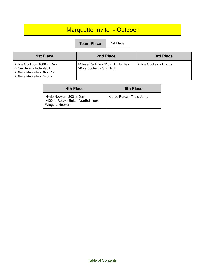## Marquette Invite - Outdoor

**Team Place** | 1st Place

| 1st Place                                                                                                    | <b>2nd Place</b>                                              | 3rd Place               |
|--------------------------------------------------------------------------------------------------------------|---------------------------------------------------------------|-------------------------|
| >Kyle Soukup - 1600 m Run<br>SDan Swan - Pole Vault<br>Steve Marcelle - Shot Put<br>>Steve Marcelle - Discus | >Steve VanRite - 110 m H Hurdles<br>>Kyle Scofield - Shot Put | >Kyle Scofield - Discus |

| 4th Place                                                                            | <b>5th Place</b>           |
|--------------------------------------------------------------------------------------|----------------------------|
| >Kyle Nooker - 200 m Dash<br>>400 m Relay - Belter, VanBellinger,<br>Wiegert, Nooker | >Jorge Perez - Triple Jump |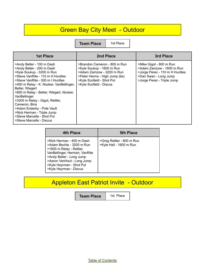## **Green Bay City Meet - Outdoor**

**Team Place** 1st Place

| <b>1st Place</b>                                                                                                                                                                                                                                                                                                                                                                                                                                               | 2nd Place                                                                                                                                                                        | 3rd Place                                                                                                                                     |
|----------------------------------------------------------------------------------------------------------------------------------------------------------------------------------------------------------------------------------------------------------------------------------------------------------------------------------------------------------------------------------------------------------------------------------------------------------------|----------------------------------------------------------------------------------------------------------------------------------------------------------------------------------|-----------------------------------------------------------------------------------------------------------------------------------------------|
| >Andy Belter - 100 m Dash<br>>Andy Belter - 200 m Dash<br>>Kyle Soukup - 3200 m Run<br>>Steve VanRite - 110 m H Hurdles<br>>Steve VanRite - 300 m I Hurdles<br>>400 m Relay - K. Nooker, VanBellinger,<br>Belter, Wiegert<br>>800 m Relay - Belter, Wiegert, Nooker,<br>VanBellinger<br>>3200 m Relay - Gigot, Rettler,<br>Cameron, Bins<br>>Adam Enderby - Pole Vault<br>>Nick Herman - Triple Jump<br>>Steve Marcelle - Shot Put<br>>Steve Marcelle - Discus | >Brandon Cameron - 800 m Run<br>>Kyle Soukup - 1600 m Run<br>>Adam Zamzow - 3200 m Run<br>>Peter Herms - High Jump (tie)<br>>Kyle Scofield - Shot Put<br>>Kyle Scofield - Discus | >Mike Gigot - 800 m Run<br>>Adam Zamzow - 1600 m Run<br>>Jorge Perez - 110 m H Hurdles<br>>Dan Swan - Long Jump<br>>Jorge Perez - Triple Jump |

| 4th Place                                                                                                                                                                                                                           | <b>5th Place</b>                                     |
|-------------------------------------------------------------------------------------------------------------------------------------------------------------------------------------------------------------------------------------|------------------------------------------------------|
| >Nick Herman - 400 m Dash<br>>Adam Bechle - 3200 m Run<br>>1600 m Relay - Rettler,<br>VanBellinger, Herman, VanRite<br>>Andy Belter - Long Jump<br>>Aaron VanHout - Long Jump<br>>Kyle Heyrman - Shot Put<br>>Kyle Heyrman - Discus | >Greg Rettler - 800 m Run<br>>Kyle Hall - 1600 m Run |

## Appleton East Patriot Invite - Outdoor

**Team Place** 1st Place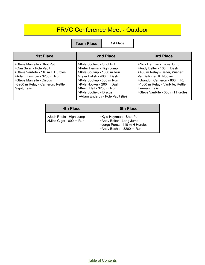## FRVC Conference Meet - Outdoor

**Team Place** 1st Place

| 1st Place                                                                                                                                                                                               | 2nd Place                                                                                                                                                                                                                                                            | 3rd Place                                                                                                                                                                                                                                        |
|---------------------------------------------------------------------------------------------------------------------------------------------------------------------------------------------------------|----------------------------------------------------------------------------------------------------------------------------------------------------------------------------------------------------------------------------------------------------------------------|--------------------------------------------------------------------------------------------------------------------------------------------------------------------------------------------------------------------------------------------------|
| >Steve Marcelle - Shot Put<br>>Dan Swan - Pole Vault<br>>Steve VanRite - 110 m H Hurdles<br>>Adam Zamzow - 3200 m Run<br>>Steve Marcelle - Discus<br>>3200 m Relay - Cameron, Rettler,<br>Gigot, Falish | >Kyle Scofield - Shot Put<br>>Peter Herms - High Jump<br>>Kyle Soukup - 1600 m Run<br>>Tyler Falish - 400 m Dash<br>>Kyle Soukup - 800 m Run<br>>Kyle Nooker - 200 m Dash<br>>Kevin Hall - 3200 m Run<br>>Kyle Scofield - Discus<br>>Adam Enderby - Pole Vault (tie) | >Nick Herman - Triple Jump<br>>Andy Belter - 100 m Dash<br>>400 m Relay - Belter, Wiegert,<br>VanBellinger, K. Nooker<br>>Brandon Cameron - 800 m Run<br>>1600 m Relay - VanRite, Rettler,<br>Herman, Falish<br>>Steve VanRite - 300 m   Hurdles |

| 4th Place                                          | <b>5th Place</b>                                                                                                    |
|----------------------------------------------------|---------------------------------------------------------------------------------------------------------------------|
| >Josh Rhein - High Jump<br>>Mike Gigot - 800 m Run | >Kyle Heyrman - Shot Put<br>>Andy Belter - Long Jump<br>>Jorge Perez - 110 m H Hurdles<br>>Andy Bechle - 3200 m Run |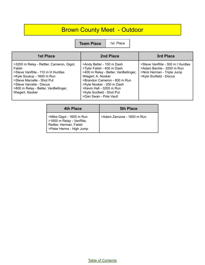## Brown County Meet - Outdoor

**Team Place** | 1st Place

| <b>1st Place</b>                                                                                                                                                                                                                         | 2nd Place                                                                                                                                                                                                                                                             | 3rd Place                                                                                                              |
|------------------------------------------------------------------------------------------------------------------------------------------------------------------------------------------------------------------------------------------|-----------------------------------------------------------------------------------------------------------------------------------------------------------------------------------------------------------------------------------------------------------------------|------------------------------------------------------------------------------------------------------------------------|
| >3200 m Relay - Rettler, Cameron, Gigot,<br>Falish<br>>Steve VanRite - 110 m H Hurdles<br>>Kyle Soukup - 1600 m Run<br>>Steve Marcelle - Shot Put<br>>Steve Varcelle - Discus<br>>800 m Relay - Belter, VanBellinger,<br>Wiegert, Nooker | >Andy Belter - 100 m Dash<br>>Tyler Falish - 400 m Dash<br>>400 m Relay - Belter, VanBellinger,<br>Wiegert, A. Nooker<br>>Brandon Cameron - 800 m Run<br>>Kyle Nooker - 200 m Dash<br>>Kevin Hall - 3200 m Run<br>>Kyle Scofield - Shot Put<br>>Dan Swan - Pole Vault | >Steve VanRite - 300 m I Hurdles<br>>Adam Bechle - 3200 m Run<br>>Nick Herman - Triple Jump<br>>Kyle Scofield - Discus |

| 4th Place                                                                                                   | <b>5th Place</b>          |
|-------------------------------------------------------------------------------------------------------------|---------------------------|
| >Mike Gigot - 1600 m Run<br>>1600 m Relay - VanRite,<br>Rettler, Herman, Falish<br>>Peter Herms - High Jump | >Adam Zamzow - 1600 m Run |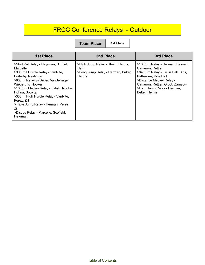## FRCC Conference Relays - Outdoor

| <b>1st Place</b>                                                                                                                                                                                                                                                                                                                                                                            | 2nd Place                                                                                      | 3rd Place                                                                                                                                                                                                                       |
|---------------------------------------------------------------------------------------------------------------------------------------------------------------------------------------------------------------------------------------------------------------------------------------------------------------------------------------------------------------------------------------------|------------------------------------------------------------------------------------------------|---------------------------------------------------------------------------------------------------------------------------------------------------------------------------------------------------------------------------------|
| >Shot Put Relay - Heyrman, Scofield,<br>Marcelle<br>>900 m I Hurdle Relay - VanRite,<br>Enderby, Reidinger<br>>800 m Relay o- Belter, VanBellinger,<br>Wiegert, K. Nooker<br>>1600 m Medley Relay - Falish, Nooker,<br>Hohna, Soukup<br>>330 m High Hurdle Relay - VanRite,<br>Perez. Zill<br>>Triple Jump Relay - Herman, Perez,<br>Zill<br>>Discus Relay - Marcelle, Scofield,<br>Heyrman | >High Jump Relay - Rhein, Herms,<br>Harr<br>>Long Jump Relay - Herman, Belter,<br><b>Herms</b> | >1600 m Relay - Herman, Bessert,<br>Cameron, Rettler<br>>6400 m Relay - Kevin Hall, Bins,<br>Pathakjee, Kyle Hall<br>>Distance Medley Relay -<br>Cameron, Rettler, Gigot, Zamzow<br>>Long Jump Relay - Herman,<br>Belter, Herms |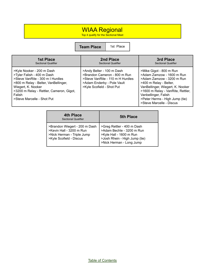#### WIAA Regional

Top 4 qualify for the Sectional Meet

**Team Place** 1st Place

| <b>1st Place</b>                                                                                                                                                                                                                              | 2nd Place                                                                                                                                                | 3rd Place                                                                                                                                                                                                                                                                  |
|-----------------------------------------------------------------------------------------------------------------------------------------------------------------------------------------------------------------------------------------------|----------------------------------------------------------------------------------------------------------------------------------------------------------|----------------------------------------------------------------------------------------------------------------------------------------------------------------------------------------------------------------------------------------------------------------------------|
| <b>Sectional Qualifier</b>                                                                                                                                                                                                                    | <b>Sectional Qualifier</b>                                                                                                                               | <b>Sectional Qualifier</b>                                                                                                                                                                                                                                                 |
| >Kyle Nooker - 200 m Dash<br>>Tyler Falish - 400 m Dash<br>>Steve VanRite - 300 m I Hurdles<br>>800 m Relay - Belter, VanBellinger,<br>Wiegert, K. Nooker<br>>3200 m Relay - Rettler, Cameron, Gigot,<br>Falish<br>>Steve Marcelle - Shot Put | >Andy Belter - 100 m Dash<br>>Brandon Cameron - 800 m Run<br>>Steve VanRite - 110 m H Hurdles<br>>Adam Enderby - Pole Vault<br>>Kyle Scofield - Shot Put | >Mike Gigot - 800 m Run<br>>Adam Zamzow - 1600 m Run<br>>Adam Zamzow - 3200 m Run<br>>400 m Relay - Belter,<br>VanBellinger, Wiegert, K. Nooker<br>>1600 m Relay - VanRite, Rettler,<br>Vanbellinger, Falish<br>>Peter Herms - High Jump (tie)<br>>Steve Marcelle - Discus |

| 4th Place<br><b>Sectional Qualifier</b>                                                                            | <b>5th Place</b>                                                                                                                                |
|--------------------------------------------------------------------------------------------------------------------|-------------------------------------------------------------------------------------------------------------------------------------------------|
| >Brandon Wiegert - 200 m Dash<br>>Kevin Hall - 3200 m Run<br>>Nick Herman - Triple Jump<br>>Kyle Scofield - Discus | >Greg Rettler - 400 m Dash<br>>Adam Bechle - 3200 m Run<br>>Kyle Hall - 1600 m Run<br>>Josh Rhein - High Jump (tie)<br>>Nick Herman - Long Jump |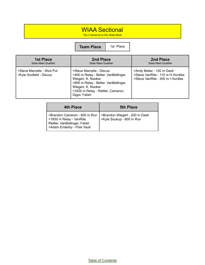#### WIAA Sectional

Top 3 advance to the State Meet

**Team Place** | 1st Place

| <b>1st Place</b>                                      | 2nd Place                                                                                                                                                                                                  | 2nd Place                                                                                         |
|-------------------------------------------------------|------------------------------------------------------------------------------------------------------------------------------------------------------------------------------------------------------------|---------------------------------------------------------------------------------------------------|
| <b>State Meet Qualifier</b>                           | <b>State Meet Qualifier</b>                                                                                                                                                                                | <b>State Meet Qualifier</b>                                                                       |
| >Steve Marcelle - Shot Put<br>>Kyle Scofield - Discus | >Steve Marcelle - Discus<br>>400 m Relay - Belter, VanBellinger,<br>Wiegert, K. Nooker<br>>800 m Relay - Belter, VanBellinger,<br>Wiegert, K. Nooker<br>>3200 m Relay - Rettler, Cameron,<br>Gigot, Falish | >Andy Belter - 100 m Dash<br>>Steve VanRite - 110 m H Hurdles<br>>Steve VanRite - 300 m I Hurdles |

| <b>4th Place</b>                                                                                                        | <b>5th Place</b>                                          |
|-------------------------------------------------------------------------------------------------------------------------|-----------------------------------------------------------|
| >Brandon Cameron - 800 m Run<br>>1600 m Relay - VanRite,<br>Rettler, VanBellinger, Falish<br>>Adam Enderby - Pole Vault | >Brandon Wiegert - 200 m Dash<br>>Kyle Soukup - 800 m Run |